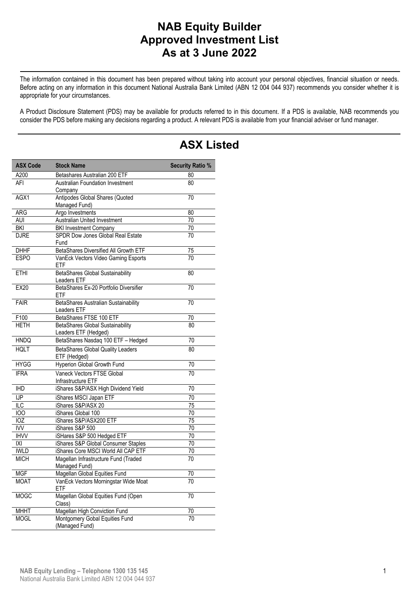#### **NAB Equity Builder Approved Investment List As at 3 June 2022**

 The information contained in this document has been prepared without taking into account your personal objectives, financial situation or needs. Before acting on any information in this document National Australia Bank Limited (ABN 12 004 044 937) recommends you consider whether it is appropriate for your circumstances.

A Product Disclosure Statement (PDS) may be available for products referred to in this document. If a PDS is available, NAB recommends you consider the PDS before making any decisions regarding a product. A relevant PDS is available from your financial adviser or fund manager.

| <b>ASX Code</b> | <b>Stock Name</b>                                     | <b>Security Ratio %</b> |
|-----------------|-------------------------------------------------------|-------------------------|
| A200            | Betashares Australian 200 ETF                         | 80                      |
| AFI             | <b>Australian Foundation Investment</b>               | 80                      |
|                 | Company                                               |                         |
| AGX1            | Antipodes Global Shares (Quoted                       | 70                      |
|                 | Managed Fund)                                         |                         |
| ARG             | Argo Investments                                      | 80                      |
| AUI             | Australian United Investment                          | 70                      |
| BKI             | <b>BKI Investment Company</b>                         | 70                      |
| <b>DJRE</b>     | SPDR Dow Jones Global Real Estate                     | 70                      |
| <b>DHHF</b>     | Fund<br>BetaShares Diversified All Growth ETF         |                         |
| <b>ESPO</b>     | VanEck Vectors Video Gaming Esports                   | 75<br>70                |
|                 | ETF                                                   |                         |
| <b>ETHI</b>     | BetaShares Global Sustainability                      | 80                      |
|                 | Leaders ETF                                           |                         |
| <b>EX20</b>     | BetaShares Ex-20 Portfolio Diversifier                | 70                      |
|                 | ETF                                                   |                         |
| <b>FAIR</b>     | BetaShares Australian Sustainability                  | 70                      |
|                 | Leaders ETF                                           |                         |
| F100            | BetaShares FTSE 100 ETF                               | 70                      |
| <b>HETH</b>     | <b>BetaShares Global Sustainability</b>               | 80                      |
|                 | Leaders ETF (Hedged)                                  |                         |
| <b>HNDQ</b>     | BetaShares Nasdaq 100 ETF - Hedged                    | 70                      |
| <b>HQLT</b>     | <b>BetaShares Global Quality Leaders</b>              | 80                      |
|                 | ETF (Hedged)                                          |                         |
| <b>HYGG</b>     | Hyperion Global Growth Fund                           | 70                      |
| <b>IFRA</b>     | Vaneck Vectors FTSE Global                            | 70                      |
|                 | Infrastructure ETF                                    |                         |
| $\overline{HD}$ | iShares S&P/ASX High Dividend Yield                   | 70                      |
| <b>IJP</b>      | iShares MSCI Japan ETF                                | 70                      |
| $\overline{LC}$ | iShares S&P/ASX 20                                    | 75                      |
| 100             | iShares Global 100                                    | 70                      |
| IOZ             | iShares S&P/ASX200 ETF                                | 75                      |
| <b>IVV</b>      | iShares S&P 500                                       | 70                      |
| <b>IHVV</b>     | iSHares S&P 500 Hedged ETF                            | 70                      |
| X               | iShares S&P Global Consumer Staples                   | $\overline{70}$         |
| <b>IWLD</b>     | iShares Core MSCI World All CAP ETF                   | 70                      |
| <b>MICH</b>     | Magellan Infrastructure Fund (Traded<br>Managed Fund) | 70                      |
| <b>MGF</b>      | Magellan Global Equities Fund                         | 70                      |
| <b>MOAT</b>     | VanEck Vectors Morningstar Wide Moat                  | 70                      |
|                 | ETF                                                   |                         |
| <b>MOGC</b>     | Magellan Global Equities Fund (Open                   | 70                      |
|                 | Class)                                                |                         |
| <b>MHHT</b>     | Magellan High Conviction Fund                         | 70                      |
| <b>MOGL</b>     | Montgomery Gobal Equities Fund                        | 70                      |
|                 | (Managed Fund)                                        |                         |

# **ASX Listed**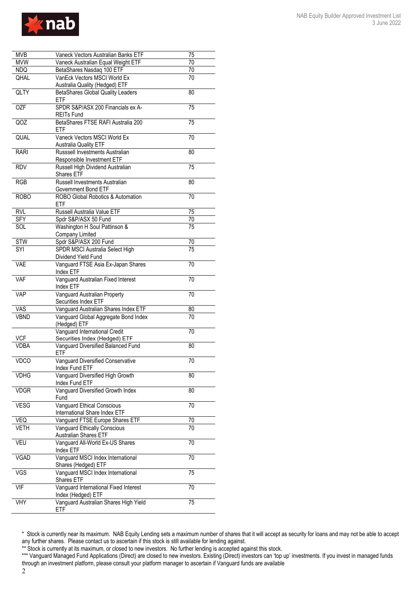

| <b>MVB</b>       | Vaneck Vectors Australian Banks ETF                    | 75              |
|------------------|--------------------------------------------------------|-----------------|
| <b>MVW</b>       | Vaneck Australian Equal Weight ETF                     | 70              |
| NDQ              | BetaShares Nasdaq 100 ETF                              | 70              |
| QHAL             | VanEck Vectors MSCI World Ex                           | 70              |
| QLTY             | Australia Quality (Hedged) ETF                         | 80              |
|                  | <b>BetaShares Global Quality Leaders</b><br><b>ETF</b> |                 |
|                  |                                                        |                 |
| <b>OZF</b>       | SPDR S&P/ASX 200 Financials ex A-                      | 75              |
|                  | <b>REITs Fund</b>                                      |                 |
| $\overline{QOZ}$ | BetaShares FTSE RAFI Australia 200                     | 75              |
|                  | ETF                                                    |                 |
| QUAL             | Vaneck Vectors MSCI World Ex                           | 70              |
|                  | <b>Australia Quality ETF</b>                           |                 |
| <b>RARI</b>      | Russsell Investments Australian                        | 80              |
|                  | Responsible Investment ETF                             |                 |
| <b>RDV</b>       | Russell High Dividend Australian                       | 75              |
|                  | Shares ETF                                             |                 |
| <b>RGB</b>       | Russell Investments Australian                         | 80              |
|                  | Government Bond ETF                                    |                 |
| <b>ROBO</b>      | ROBO Global Robotics & Automation                      | 70              |
|                  | ETF                                                    |                 |
| <b>RVL</b>       | Russell Australia Value ETF                            | 75              |
| <b>SFY</b>       | Spdr S&P/ASX 50 Fund                                   | 70              |
| SOL              | Washington H Soul Pattinson &                          | 75              |
|                  |                                                        |                 |
|                  | Company Limited                                        |                 |
| <b>STW</b>       | Spdr S&P/ASX 200 Fund                                  | 70              |
| <b>SYI</b>       | SPDR MSCI Australia Select High                        | 75              |
|                  | Dividend Yield Fund                                    |                 |
| <b>VAE</b>       | Vanguard FTSE Asia Ex-Japan Shares                     | 70              |
|                  | Index ETF                                              |                 |
| <b>VAF</b>       | Vanguard Australian Fixed Interest                     | 70              |
|                  | Index ETF                                              |                 |
| <b>VAP</b>       | Vanguard Australian Property                           | 70              |
|                  | Securities Index ETF                                   |                 |
| VAS              | Vanguard Australian Shares Index ETF                   | 80              |
| <b>VBND</b>      | Vanguard Global Aggregate Bond Index                   | 70              |
|                  | (Hedged) ETF                                           |                 |
|                  | Vanguard International Credit                          | 70              |
| <b>VCF</b>       | Securities Index (Hedged) ETF                          |                 |
| <b>VDBA</b>      | Vanguard Diversified Balanced Fund                     | $\overline{80}$ |
|                  | ETF                                                    |                 |
| <b>VDCO</b>      | Vanguard Diversified Conservative                      | 70              |
|                  | Index Fund ETF                                         |                 |
| <b>VDHG</b>      | Vanguard Diversified High Growth                       | 80              |
|                  |                                                        |                 |
|                  | Index Fund ETF                                         |                 |
| <b>VDGR</b>      | Vanguard Diversified Growth Index                      | 80              |
|                  | Fund                                                   |                 |
| <b>VESG</b>      | <b>Vanguard Ethical Conscious</b>                      | 70              |
|                  | International Share Index ETF                          |                 |
| VEQ              | Vanguard FTSE Europe Shares ETF                        | 70              |
| <b>VETH</b>      | Vanguard Ethically Conscious                           | 70              |
|                  | Australian Shares ETF                                  |                 |
| VEU              | Vanguard All-World Ex-US Shares                        | 70              |
|                  | Index ETF                                              |                 |
| <b>VGAD</b>      | Vanguard MSCI Index International                      | 70              |
|                  | Shares (Hedged) ETF                                    |                 |
| VGS              | Vanguard MSCI Index International                      | 75              |
|                  | <b>Shares ETF</b>                                      |                 |
| <b>VIF</b>       | Vanguard International Fixed Interest                  | 70              |
|                  | Index (Hedged) ETF                                     |                 |
|                  |                                                        |                 |
| VHY              | Vanguard Australian Shares High Yield                  | 75              |

\*\* Stock is currently at its maximum, or closed to new investors. No further lending is accepted against this stock.

2

<sup>\*\*\*</sup> Vanguard Managed Fund Applications (Direct) are closed to new investors. Existing (Direct) investors can 'top up' investments. If you invest in managed funds through an investment platform, please consult your platform manager to ascertain if Vanguard funds are available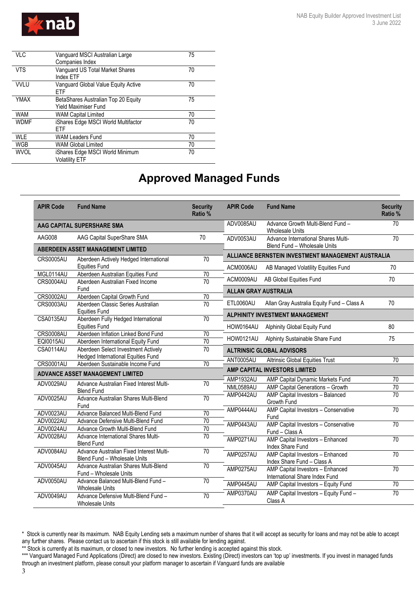

| <b>VLC</b>  | Vanguard MSCI Australian Large      | 75 |
|-------------|-------------------------------------|----|
|             | Companies Index                     |    |
| <b>VTS</b>  | Vanguard US Total Market Shares     | 70 |
|             | Index ETF                           |    |
| <b>VVLU</b> | Vanguard Global Value Equity Active | 70 |
|             | ETF                                 |    |
| <b>YMAX</b> | BetaShares Australian Top 20 Equity | 75 |
|             | <b>Yield Maximiser Fund</b>         |    |
| <b>WAM</b>  | <b>WAM Capital Limited</b>          | 70 |
| <b>WDMF</b> | iShares Edge MSCI World Multifactor | 70 |
|             | FTF                                 |    |
| <b>WLE</b>  | <b>WAM Leaders Fund</b>             | 70 |
| <b>WGB</b>  | <b>WAM Global Limited</b>           | 70 |
| <b>WVOL</b> | iShares Edge MSCI World Minimum     | 70 |
|             | <b>Volatility ETF</b>               |    |

## **Approved Managed Funds**

| <b>APIR Code</b> | <b>Fund Name</b>                                                       | <b>Security</b><br>Ratio % | <b>APIR Code</b>            | <b>Fund Name</b>                                                    | <b>Security</b><br>Ratio % |
|------------------|------------------------------------------------------------------------|----------------------------|-----------------------------|---------------------------------------------------------------------|----------------------------|
|                  | AAG CAPITAL SUPERSHARE SMA                                             |                            | ADV0085AU                   | Advance Growth Multi-Blend Fund -<br><b>Wholesale Units</b>         | 70                         |
| AAG008           | AAG Capital SuperShare SMA                                             | 70                         | ADV0053AU                   | Advance International Shares Multi-<br>Blend Fund - Wholesale Units | $\overline{70}$            |
|                  | <b>ABERDEEN ASSET MANAGEMENT LIMITED</b>                               |                            |                             | ALLIANCE BERNSTEIN INVESTMENT MANAGEMENT AUSTRALIA                  |                            |
| <b>CRS0005AU</b> | Aberdeen Actively Hedged International                                 | $\overline{70}$            |                             |                                                                     |                            |
|                  | <b>Equities Fund</b>                                                   |                            | ACM0006AU                   | AB Managed Volatility Equities Fund                                 | 70                         |
| MGL0114AU        | Aberdeen Australian Equities Fund                                      | $\overline{70}$            | ACM0009AU                   |                                                                     | 70                         |
| <b>CRS0004AU</b> | Aberdeen Australian Fixed Income                                       | $\overline{70}$            |                             | AB Global Equities Fund                                             |                            |
|                  | Fund                                                                   |                            | <b>ALLAN GRAY AUSTRALIA</b> |                                                                     |                            |
| <b>CRS0002AU</b> | Aberdeen Capital Growth Fund                                           | 70                         |                             |                                                                     |                            |
| <b>CRS0003AU</b> | Aberdeen Classic Series Australian                                     | $\overline{70}$            | ETL0060AU                   | Allan Gray Australia Equity Fund - Class A                          | 70                         |
|                  | <b>Equities Fund</b>                                                   |                            |                             | <b>ALPHINITY INVESTMENT MANAGEMENT</b>                              |                            |
| CSA0135AU        | Aberdeen Fully Hedged International                                    | 70                         |                             |                                                                     |                            |
|                  | <b>Equities Fund</b>                                                   |                            | HOW0164AU                   | <b>Alphinity Global Equity Fund</b>                                 | 80                         |
| <b>CRS0008AU</b> | Aberdeen Inflation Linked Bond Fund                                    | $\overline{70}$<br>70      | <b>HOW0121AU</b>            | Alphinty Sustainable Share Fund                                     | 75                         |
| <b>EQI0015AU</b> | Aberdeen International Equity Fund                                     |                            |                             |                                                                     |                            |
| CSA0114AU        | Aberdeen Select Investment Actively                                    | 70                         |                             | <b>ALTRINSIC GLOBAL ADVISORS</b>                                    |                            |
| <b>CRS0001AU</b> | Hedged International Equities Fund<br>Aberdeen Sustainable Income Fund | 70                         | ANT0005AU                   | <b>Altrinsic Global Equities Trust</b>                              | 70                         |
|                  | <b>ADVANCE ASSET MANAGEMENT LIMITED</b>                                |                            |                             | AMP CAPITAL INVESTORS LIMITED                                       |                            |
|                  |                                                                        |                            | AMP1932AU                   | AMP Capital Dynamic Markets Fund                                    | 70                         |
| ADV0029AU        | Advance Australian Fixed Interest Multi-                               | $\overline{70}$            | NML0589AU                   | AMP Capital Generations - Growth                                    | $\overline{70}$            |
|                  | <b>Blend Fund</b>                                                      |                            | AMP0442AU                   | AMP Capital Investors - Balanced                                    | $\overline{70}$            |
| ADV0025AU        | Advance Australian Shares Multi-Blend                                  | $\overline{70}$            |                             | Growth Fund                                                         |                            |
|                  | Fund                                                                   |                            | AMP0444AU                   | AMP Capital Investors - Conservative                                | $\overline{70}$            |
| ADV0023AU        | Advance Balanced Multi-Blend Fund                                      | $\overline{70}$            |                             | Fund                                                                |                            |
| ADV0022AU        | Advance Defensive Multi-Blend Fund                                     | 70                         | AMP0443AU                   | AMP Capital Investors - Conservative                                | $\overline{70}$            |
| ADV0024AU        | Advance Growth Multi-Blend Fund                                        | $\overline{70}$            |                             | Fund - Class A                                                      |                            |
| ADV0028AU        | Advance International Shares Multi-                                    | 70                         | AMP0271AU                   | AMP Capital Investors - Enhanced                                    | $\overline{70}$            |
|                  | <b>Blend Fund</b>                                                      |                            |                             | Index Share Fund                                                    |                            |
| ADV0084AU        | Advance Australian Fixed Interest Multi-                               | $\overline{70}$            | AMP0257AU                   | AMP Capital Investors - Enhanced                                    | 70                         |
| ADV0045AU        | Blend Fund - Wholesale Units                                           | 70                         |                             | Index Share Fund - Class A                                          |                            |
|                  | Advance Australian Shares Multi-Blend                                  |                            | AMP0275AU                   | AMP Capital Investors - Enhanced                                    | $\overline{70}$            |
| ADV0050AU        | Fund - Wholesale Units<br>Advance Balanced Multi-Blend Fund -          | $\overline{70}$            |                             | International Share Index Fund                                      |                            |
|                  | <b>Wholesale Units</b>                                                 |                            | AMP0445AU                   | AMP Capital Investors - Equity Fund                                 | 70                         |
| ADV0049AU        | Advance Defensive Multi-Blend Fund -                                   | 70                         | AMP0370AU                   | AMP Capital Investors - Equity Fund -                               | $\overline{70}$            |
|                  | <b>Wholesale Units</b>                                                 |                            |                             | Class A                                                             |                            |

<sup>\*</sup> Stock is currently near its maximum. NAB Equity Lending sets a maximum number of shares that it will accept as security for loans and may not be able to accept any further shares. Please contact us to ascertain if this stock is still available for lending against.

<sup>\*\*</sup> Stock is currently at its maximum, or closed to new investors. No further lending is accepted against this stock.

<sup>\*\*\*</sup> Vanguard Managed Fund Applications (Direct) are closed to new investors. Existing (Direct) investors can 'top up' investments. If you invest in managed funds through an investment platform, please consult your platform manager to ascertain if Vanguard funds are available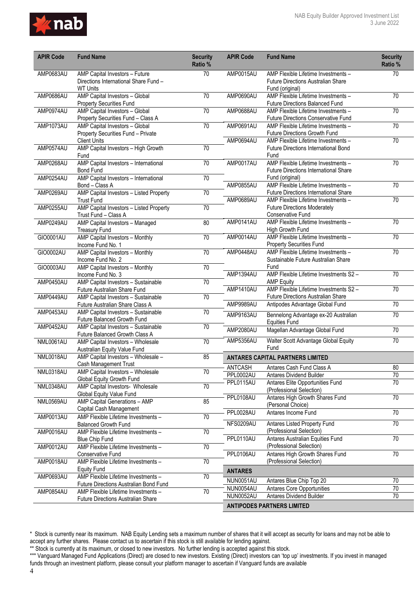

| <b>APIR Code</b> | <b>Fund Name</b>                                                                           | <b>Security</b><br>Ratio % | <b>APIR Code</b>     | <b>Fund Name</b>                                                                                    | <b>Security</b><br>Ratio % |
|------------------|--------------------------------------------------------------------------------------------|----------------------------|----------------------|-----------------------------------------------------------------------------------------------------|----------------------------|
| AMP0683AU        | AMP Capital Investors - Future<br>Directions International Share Fund -<br><b>WT Units</b> | 70                         | AMP0015AU            | AMP Flexible Lifetime Investments -<br><b>Future Directions Australian Share</b><br>Fund (original) | 70                         |
| AMP0686AU        | AMP Capital Investors - Global<br><b>Property Securities Fund</b>                          | $\overline{70}$            | AMP0690AU            | AMP Flexible Lifetime Investments -<br><b>Future Directions Balanced Fund</b>                       | $\overline{70}$            |
| AMP0974AU        | AMP Capital Investors - Global<br>Property Securities Fund - Class A                       | $\overline{70}$            | AMP0688AU            | AMP Flexible Lifetime Investments -<br>Future Directions Conservative Fund                          | $\overline{70}$            |
| AMP1073AU        | AMP Capital Investors - Global<br>Property Securities Fund - Private                       | $\overline{70}$            | AMP0691AU            | AMP Flexible Lifetime Investments -<br>Future Directions Growth Fund                                | $\overline{70}$            |
| AMP0574AU        | <b>Client Units</b><br>AMP Capital Investors - High Growth                                 | 70                         | AMP0694AU            | AMP Flexible Lifetime Investments -<br><b>Future Directions International Bond</b>                  | 70                         |
| AMP0268AU        | Fund<br>AMP Capital Investors - International                                              | 70                         | AMP0017AU            | Fund<br>AMP Flexible Lifetime Investments -                                                         | $\overline{70}$            |
| AMP0254AU        | <b>Bond Fund</b><br>AMP Capital Investors - International                                  | $\overline{70}$            |                      | <b>Future Directions International Share</b><br>Fund (original)                                     |                            |
| AMP0269AU        | Bond - Class A<br>AMP Capital Investors - Listed Property                                  | 70                         | AMP0855AU            | AMP Flexible Lifetime Investments -<br>Future Directions International Share                        | $\overline{70}$            |
| AMP0255AU        | <b>Trust Fund</b><br>AMP Capital Investors - Listed Property                               | $\overline{70}$            | AMP0689AU            | AMP Flexible Lifetime Investments -<br><b>Future Directions Moderately</b>                          | 70                         |
| AMP0249AU        | Trust Fund - Class A<br>AMP Capital Investors - Managed                                    | 80                         | AMP0141AU            | <b>Conservative Fund</b><br>AMP Flexible Lifetime Investments -                                     | 70                         |
| GIO0001AU        | <b>Treasury Fund</b><br>AMP Capital Investors - Monthly                                    | $\overline{70}$            | AMP0014AU            | High Growth Fund<br>AMP Flexible Lifetime Investments -                                             | $\overline{70}$            |
| GIO0002AU        | Income Fund No. 1                                                                          | 70                         | AMP0448AU            | <b>Property Securities Fund</b><br>AMP Flexible Lifetime Investments -                              | 70                         |
|                  | AMP Capital Investors - Monthly<br>Income Fund No. 2                                       |                            |                      | Sustainable Future Australian Share                                                                 |                            |
| GIO0003AU        | AMP Capital Investors - Monthly<br>Income Fund No. 3                                       | $\overline{70}$            | AMP1394AU            | Fund<br>AMP Flexible Lifetime Investments S2-                                                       | $\overline{70}$            |
| AMP0450AU        | AMP Capital Investors - Sustainable<br>Future Australian Share Fund                        | $\overline{70}$            | AMP1410AU            | <b>AMP Equity</b><br>AMP Flexible Lifetime Investments S2 -                                         | 70                         |
| AMP0449AU        | AMP Capital Investors - Sustainable<br>Future Australian Share Class A                     | $\overline{70}$            | AMP9989AU            | <b>Future Directions Australian Share</b><br>Antipodes Advantage Global Fund                        | $\overline{70}$            |
| AMP0453AU        | AMP Capital Investors - Sustainable<br><b>Future Balanced Growth Fund</b>                  | $\overline{70}$            | AMP9163AU            | Bennelong Advantage ex-20 Australian<br><b>Equities Fund</b>                                        | 70                         |
| AMP0452AU        | AMP Capital Investors - Sustainable<br>Future Balanced Growth Class A                      | $\overline{70}$            | AMP2080AU            | Magellan Advantage Global Fund                                                                      | 70                         |
| <b>NML0061AU</b> | AMP Capital Investors - Wholesale<br>Australian Equity Value Fund                          | $\overline{70}$            | AMP5356AU            | Walter Scott Advantage Global Equity<br>Fund                                                        | 70                         |
| NML0018AU        | AMP Capital Investors - Wholesale -<br>Cash Management Trust                               | 85                         |                      | <b>ANTARES CAPITAL PARTNERS LIMITED</b>                                                             |                            |
| NML0318AU        | AMP Capital Investors - Wholesale                                                          | 70                         | ANTCASH<br>PPL0002AU | Antares Cash Fund Class A<br><b>Antares Dividend Builder</b>                                        | 80<br>$\overline{70}$      |
| NML0348AU        | Global Equity Growth Fund<br>AMP Capital Investors- Wholesale                              | 70                         | PPL0115AU            | Antares Elite Opportunities Fund<br>(Professional Selection)                                        | 70                         |
| NML0569AU        | Global Equity Value Fund<br>AMP Capital Generations - AMP                                  | 85                         | PPL0108AU            | Antares High Growth Shares Fund                                                                     | 70                         |
|                  | Capital Cash Management                                                                    |                            | PPL0028AU            | (Personal Choice)<br>Antares Income Fund                                                            | 70                         |
| AMP0013AU        | AMP Flexible Lifetime Investments -<br><b>Balanced Growth Fund</b>                         | 70                         | NFS0209AU            | Antares Listed Property Fund                                                                        | $\overline{70}$            |
| AMP0016AU        | AMP Flexible Lifetime Investments -<br><b>Blue Chip Fund</b>                               | $\overline{70}$            | PPL0110AU            | (Professional Selection)<br>Antares Australian Equities Fund                                        | 70                         |
| AMP0012AU        | AMP Flexible Lifetime Investments -<br>Conservative Fund                                   | $\overline{70}$            | PPL0106AU            | (Professional Selection)<br>Antares High Growth Shares Fund                                         | 70                         |
| AMP0018AU        | AMP Flexible Lifetime Investments -<br><b>Equity Fund</b>                                  | $\overline{70}$            | <b>ANTARES</b>       | (Professional Selection)                                                                            |                            |
| AMP0693AU        | AMP Flexible Lifetime Investments -                                                        | $\overline{70}$            | NUN0051AU            | Antares Blue Chip Top 20                                                                            | $70\,$                     |
| AMP0854AU        | Future Directions Australian Bond Fund<br>AMP Flexible Lifetime Investments -              | $\overline{70}$            | NUN0054AU            | Antares Core Opportunities                                                                          | 70                         |
|                  | <b>Future Directions Australian Share</b>                                                  |                            | NUN0052AU            | Antares Dividend Builder                                                                            | $\overline{70}$            |
|                  |                                                                                            |                            |                      | <b>ANTIPODES PARTNERS LIMITED</b>                                                                   |                            |

<sup>\*</sup> Stock is currently near its maximum. NAB Equity Lending sets a maximum number of shares that it will accept as security for loans and may not be able to accept any further shares. Please contact us to ascertain if this stock is still available for lending against.

<sup>\*\*</sup> Stock is currently at its maximum, or closed to new investors. No further lending is accepted against this stock.

<sup>\*\*\*</sup> Vanguard Managed Fund Applications (Direct) are closed to new investors. Existing (Direct) investors can 'top up' investments. If you invest in managed funds through an investment platform, please consult your platform manager to ascertain if Vanguard funds are available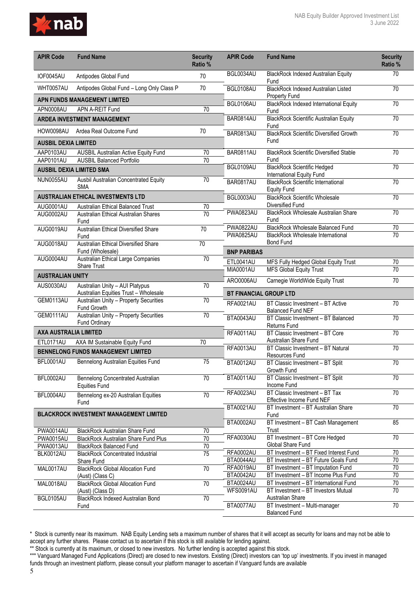

| <b>APIR Code</b>              | <b>Fund Name</b>                                                         | <b>Security</b><br>Ratio % | <b>APIR Code</b>              | <b>Fund Name</b>                                                          | <b>Security</b><br>Ratio % |
|-------------------------------|--------------------------------------------------------------------------|----------------------------|-------------------------------|---------------------------------------------------------------------------|----------------------------|
| IOF0045AU                     | Antipodes Global Fund                                                    | 70                         | BGL0034AU                     | <b>BlackRock Indexed Australian Equity</b><br>Fund                        | 70                         |
| WHT0057AU                     | Antipodes Global Fund - Long Only Class P                                | 70                         | BGL0108AU                     | <b>BlackRock Indexed Australian Listed</b><br><b>Property Fund</b>        | 70                         |
|                               | <b>APN FUNDS MANAGEMENT LIMITED</b>                                      |                            | BGL0106AU                     | <b>BlackRock Indexed International Equity</b>                             | 70                         |
| APN0008AU                     | APN A-REIT Fund                                                          | 70                         |                               | Fund                                                                      |                            |
|                               | <b>ARDEA INVESTMENT MANAGEMENT</b>                                       |                            | BAR0814AU                     | <b>BlackRock Scientific Australian Equity</b><br>Fund                     | $\overline{70}$            |
|                               | HOW0098AU Ardea Real Outcome Fund                                        | 70                         | BAR0813AU                     | <b>BlackRock Scientific Diversified Growth</b>                            | $\overline{70}$            |
| <b>AUSBIL DEXIA LIMITED</b>   |                                                                          |                            |                               | Fund                                                                      |                            |
| AAP0103AU                     | <b>AUSBIL Australian Active Equity Fund</b>                              | 70                         | <b>BAR0811AU</b>              | <b>BlackRock Scientific Diversified Stable</b>                            | $\overline{70}$            |
| AAP0101AU                     | <b>AUSBIL Balanced Portfolio</b>                                         | 70                         | BGL0109AU                     | Fund<br><b>BlackRock Scientific Hedged</b>                                | 70                         |
|                               | <b>AUSBIL DEXIA LIMITED SMA</b>                                          |                            |                               | International Equity Fund                                                 |                            |
| NUN0055AU                     | Ausbil Australian Concentrated Equity<br><b>SMA</b>                      | 70                         | BAR0817AU                     | <b>BlackRock Scientific International</b><br><b>Equity Fund</b>           | 70                         |
|                               | <b>AUSTRALIAN ETHICAL INVESTMENTS LTD</b>                                |                            | BGL0003AU                     | <b>BlackRock Scientific Wholesale</b>                                     | 70                         |
| AUG0001AU                     | Australian Ethical Balanced Trust                                        | 70                         |                               | Diversified Fund                                                          |                            |
| AUG0002AU                     | Australian Ethical Australian Shares<br>Fund                             | 70                         | <b>PWA0823AU</b>              | BlackRock Wholesale Australian Share<br>Fund                              | $\overline{70}$            |
| AUG0019AU                     | Australian Ethical Diversified Share                                     | $\overline{70}$            | <b>PWA0822AU</b>              | <b>BlackRock Wholesale Balanced Fund</b>                                  | $\overline{70}$            |
|                               | Fund                                                                     |                            | <b>PWA0825AU</b>              | <b>BlackRock Wholesale International</b>                                  | $\overline{70}$            |
| AUG0018AU                     | <b>Australian Ethical Diversified Share</b><br>Fund (Wholesale)          | $\overline{70}$            | <b>BNP PARIBAS</b>            | <b>Bond Fund</b>                                                          |                            |
| AUG0004AU                     | Australian Ethical Large Companies                                       | $\overline{70}$            | ETL0041AU                     | MFS Fully Hedged Global Equity Trust                                      | 70                         |
|                               | <b>Share Trust</b>                                                       |                            | <b>MIA0001AU</b>              | <b>MFS Global Equity Trust</b>                                            | 70                         |
| <b>AUSTRALIAN UNITY</b>       |                                                                          |                            | ARO0006AU                     | Carnegie WorldWide Equity Trust                                           | $\overline{70}$            |
| AUS0030AU                     | Australian Unity - AUI Platypus<br>Australian Equities Trust - Wholesale | 70                         | <b>BT FINANCIAL GROUP LTD</b> |                                                                           |                            |
| GEM0113AU                     | Australian Unity - Property Securities<br>Fund Growth                    | 70                         | <b>RFA0021AU</b>              | BT Classic Investment - BT Active<br><b>Balanced Fund NEF</b>             | 70                         |
| GEM0111AU                     | Australian Unity - Property Securities<br>Fund Ordinary                  | 70                         | BTA0043AU                     | BT Classic Investment - BT Balanced<br>Returns Fund                       | 70                         |
| <b>AXA AUSTRALIA LIMITED</b>  |                                                                          |                            | RFA0011AU                     | BT Classic Investment - BT Core                                           | 70                         |
| ETL0171AU                     | AXA IM Sustainable Equity Fund                                           | 70                         |                               | Australian Share Fund                                                     |                            |
|                               | <b>BENNELONG FUNDS MANAGEMENT LIMITED</b>                                |                            | RFA0013AU                     | BT Classic Investment - BT Natural<br>Resources Fund                      | 70                         |
| BFL0001AU                     | Bennelong Australian Equities Fund                                       | 75                         | BTA0012AU                     | BT Classic Investment - BT Split<br>Growth Fund                           | $\overline{70}$            |
| BFL0002AU                     | Bennelong Concentrated Australian<br><b>Equities Fund</b>                | $\overline{70}$            | BTA0011AU                     | BT Classic Investment - BT Split<br>Income Fund                           | $\overline{70}$            |
| BFL0004AU                     | Bennelong ex-20 Australian Equities<br>Fund                              | 70                         | <b>RFA0023AU</b>              | BT Classic Investment - BT Tax<br>Effective Income Fund NEF               | 70                         |
|                               | <b>BLACKROCK INVESTMENT MANAGEMENT LIMITED</b>                           |                            | <b>BTA0021AU</b>              | BT Investment - BT Australian Share<br>Fund                               | $\overline{70}$            |
|                               |                                                                          |                            | BTA0002AU                     | BT Investment - BT Cash Management<br>Trust                               | 85                         |
| PWA0014AU<br><b>PWA0015AU</b> | BlackRock Australian Share Fund<br>BlackRock Australian Share Fund Plus  | 70<br>$\overline{70}$      | <b>RFA0030AU</b>              | BT Investment - BT Core Hedged                                            | 70                         |
| <b>PWA0013AU</b>              | <b>BlackRock Balanced Fund</b>                                           | $\overline{70}$            |                               | Global Share Fund                                                         |                            |
| BLK0012AU                     | <b>BlackRock Concentrated Industrial</b>                                 | $\overline{75}$            | <b>RFA0002AU</b>              | BT Investment - BT Fixed Interest Fund                                    | $\overline{70}$            |
|                               | Share Fund                                                               |                            | BTA0044AU                     | BT Investment - BT Future Goals Fund                                      | $70\,$                     |
| MAL0017AU                     | <b>BlackRock Global Allocation Fund</b><br>(Aust) (Class C)              | $\overline{70}$            | <b>RFA0019AU</b><br>BTA0042AU | BT Investment - BT Imputation Fund<br>BT Investment - BT Income Plus Fund | 70<br>$70\,$               |
| MAL0018AU                     | <b>BlackRock Global Allocation Fund</b>                                  | $\overline{70}$            | BTA0024AU                     | BT Investment - BT International Fund                                     | 70                         |
|                               | (Aust) (Class D)                                                         |                            | <b>WFS0091AU</b>              | BT Investment - BT Investors Mutual                                       | 70                         |
| BGL0105AU                     | <b>BlackRock Indexed Australian Bond</b><br>Fund                         | $\overline{70}$            | BTA0077AU                     | Australian Share<br>BT Investment - Multi-manager                         | $\overline{70}$            |
|                               |                                                                          |                            |                               | <b>Balanced Fund</b>                                                      |                            |

<sup>\*</sup> Stock is currently near its maximum. NAB Equity Lending sets a maximum number of shares that it will accept as security for loans and may not be able to accept any further shares. Please contact us to ascertain if this stock is still available for lending against.

<sup>\*\*</sup> Stock is currently at its maximum, or closed to new investors. No further lending is accepted against this stock.

<sup>\*\*\*</sup> Vanguard Managed Fund Applications (Direct) are closed to new investors. Existing (Direct) investors can 'top up' investments. If you invest in managed funds through an investment platform, please consult your platform manager to ascertain if Vanguard funds are available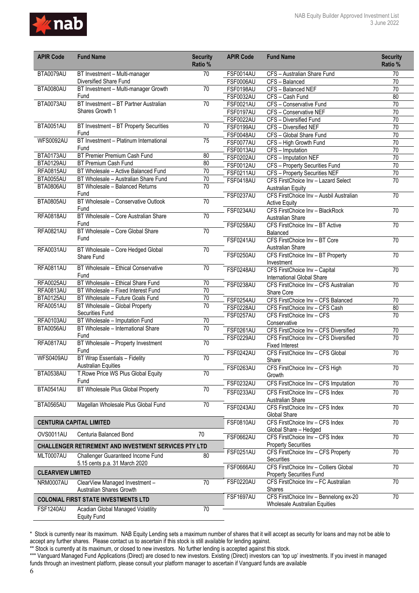

| <b>APIR Code</b>         | <b>Fund Name</b>                                             | <b>Security</b><br>Ratio % | <b>APIR Code</b> | <b>Fund Name</b>                                                 | <b>Security</b><br>Ratio % |
|--------------------------|--------------------------------------------------------------|----------------------------|------------------|------------------------------------------------------------------|----------------------------|
| BTA0079AU                | BT Investment - Multi-manager                                | 70                         | <b>FSF0014AU</b> | CFS - Australian Share Fund                                      | 70                         |
|                          | Diversified Share Fund                                       |                            | <b>FSF0006AU</b> | CFS - Balanced                                                   | 70                         |
| BTA0080AU                | BT Investment - Multi-manager Growth                         | 70                         | FSF0198AU        | CFS - Balanced NEF                                               | 70                         |
|                          | Fund                                                         |                            | <b>FSF0032AU</b> | CFS - Cash Fund                                                  | 80                         |
| BTA0073AU                | BT Investment - BT Partner Australian                        | 70                         | <b>FSF0021AU</b> | CFS - Conservative Fund                                          | 70                         |
|                          | Shares Growth 1                                              |                            | FSF0197AU        | CFS - Conservative NEF                                           | 70                         |
|                          |                                                              |                            | <b>FSF0022AU</b> | CFS - Diversified Fund                                           | $\overline{70}$            |
| BTA0051AU                | BT Investment - BT Property Securities                       | 70                         | <b>FSF0199AU</b> | CFS - Diversified NEF                                            | $\overline{70}$            |
|                          | Fund                                                         |                            | FSF0048AU        | CFS - Global Share Fund                                          | $\overline{70}$            |
| <b>WFS0092AU</b>         | BT Investment - Platinum International<br>Fund               | 75                         | <b>FSF0077AU</b> | CFS - High Growth Fund                                           | $\overline{70}$            |
| BTA0173AU                | BT Premier Premium Cash Fund                                 | 80                         | <b>FSF0013AU</b> | $\overline{CFS}$ – Imputation                                    | 70                         |
| BTA0129AU                | BT Premium Cash Fund                                         | 80                         | <b>FSF0202AU</b> | CFS - Imputation NEF                                             | 70                         |
| RFA0815AU                | BT Wholesale - Active Balanced Fund                          | 70                         | <b>FSF0012AU</b> | CFS - Property Securities Fund                                   | $\overline{70}$            |
| BTA0055AU                | BT Wholesale - Australian Share Fund                         | 70                         | <b>FSF0211AU</b> | CFS - Property Securities NEF                                    | $\overline{70}$            |
| BTA0806AU                | BT Wholesale - Balanced Returns                              | $\overline{70}$            | <b>FSF0418AU</b> | CFS FirstChoice Inv - Lazard Select                              | $\overline{70}$            |
|                          | Fund                                                         |                            |                  | <b>Australian Equity</b>                                         |                            |
| BTA0805AU                | BT Wholesale - Conservative Outlook                          | $\overline{70}$            | <b>FSF0237AU</b> | CFS FirstChoice Inv - Ausbil Australian                          | 70                         |
|                          | Fund                                                         |                            |                  | <b>Active Equity</b>                                             |                            |
| <b>RFA0818AU</b>         | BT Wholesale - Core Australian Share                         | 70                         | <b>FSF0234AU</b> | CFS FirstChoice Inv - BlackRock                                  | $\overline{70}$            |
|                          | Fund                                                         |                            |                  | Australian Share                                                 | $\overline{70}$            |
| RFA0821AU                | BT Wholesale - Core Global Share                             | $\overline{70}$            | <b>FSF0258AU</b> | CFS FirstChoice Inv - BT Active                                  |                            |
|                          | Fund                                                         |                            |                  | Balanced<br>CFS FirstChoice Inv - BT Core                        |                            |
|                          |                                                              |                            | FSF0241AU        |                                                                  | 70                         |
| <b>RFA0031AU</b>         | BT Wholesale - Core Hedged Global                            | $\overline{70}$            | <b>FSF0250AU</b> | Australian Share                                                 | 70                         |
|                          | Share Fund                                                   |                            |                  | CFS FirstChoice Inv - BT Property                                |                            |
| <b>RFA0811AU</b>         | BT Wholesale - Ethical Conservative                          | $\overline{70}$            | FSF0248AU        | Investment<br>CFS FirstChoice Inv - Capital                      | 70                         |
|                          | Fund                                                         |                            |                  | International Global Share                                       |                            |
| RFA0025AU                | BT Wholesale - Ethical Share Fund                            | 70                         | <b>FSF0238AU</b> | CFS FirstChoice Inv - CFS Australian                             | 70                         |
| RFA0813AU                | BT Wholesale - Fixed Interest Fund                           | $\overline{70}$            |                  | Share Core                                                       |                            |
| BTA0125AU                | BT Wholesale - Future Goals Fund                             | 70                         | <b>FSF0254AU</b> | CFS FirstChoice Inv - CFS Balanced                               | $\overline{70}$            |
| <b>RFA0051AU</b>         | BT Wholesale - Global Property                               | 70                         | FSF0228AU        | CFS FirstChoice Inv - CFS Cash                                   | 80                         |
|                          | Securities Fund                                              |                            | <b>FSF0257AU</b> | CFS FirstChoice Inv - CFS                                        | $\overline{70}$            |
| RFA0103AU                | BT Wholesale - Imputation Fund                               | 70                         |                  | Conservative                                                     |                            |
| BTA0056AU                | BT Wholesale - International Share                           | 70                         | FSF0261AU        | CFS FirstChoice Inv - CFS Diversified                            | $\overline{70}$            |
|                          | Fund                                                         |                            | <b>FSF0229AU</b> | CFS FirstChoice Inv - CFS Diversified                            | 70                         |
| RFA0817AU                | BT Wholesale - Property Investment                           | 70                         |                  | <b>Fixed Interest</b>                                            |                            |
|                          | Fund                                                         |                            | <b>FSF0242AU</b> | CFS FirstChoice Inv - CFS Global                                 | $\overline{70}$            |
| WFS0409AU                | BT Wrap Essentials - Fidelity                                | 70                         |                  | Share                                                            |                            |
|                          | <b>Australian Equities</b>                                   |                            | <b>FSF0263AU</b> | CFS FirstChoice Inv - CFS High                                   | 70                         |
| BTA0538AU                | T.Rowe Price WS Plus Global Equity                           | 70                         |                  | Growth                                                           |                            |
|                          | Fund                                                         |                            | FSF0232AU        | CFS FirstChoice Inv - CFS Imputation                             | $\overline{70}$            |
| BTA0541AU                | BT Wholesale Plus Global Property                            | 70                         | FSF0233AU        | CFS FirstChoice Inv - CFS Index                                  | 70                         |
|                          |                                                              |                            |                  | Australian Share                                                 |                            |
| BTA0565AU                | Magellan Wholesale Plus Global Fund                          | 70                         | <b>FSF0243AU</b> | CFS FirstChoice Inv - CFS Index                                  | 70                         |
|                          |                                                              |                            |                  | Global Share                                                     |                            |
|                          | <b>CENTURIA CAPITAL LIMITED</b>                              |                            | <b>FSF0810AU</b> | CFS FirstChoice Inv - CFS Index                                  | $\overline{70}$            |
|                          |                                                              |                            |                  | Global Share - Hedged                                            |                            |
| OVS0011AU                | Centuria Balanced Bond                                       | 70                         | <b>FSF0662AU</b> | CFS FirstChoice Inv - CFS Index                                  | 70                         |
|                          | <b>CHALLENGER RETIREMENT AND INVESTMENT SERVICES PTY LTD</b> |                            | <b>FSF0251AU</b> | <b>Property Securities</b><br>CFS FirstChoice Inv - CFS Property | $\overline{70}$            |
| MLT0007AU                | Challenger Guaranteed Income Fund                            | 80                         |                  | Securities                                                       |                            |
|                          | 5.15 cents p.a. 31 March 2020                                |                            | <b>FSF0666AU</b> | CFS FirstChoice Inv - Colliers Global                            | $\overline{70}$            |
| <b>CLEARVIEW LIMITED</b> |                                                              |                            |                  | Property Securities Fund                                         |                            |
| NRM0007AU                | ClearView Managed Investment -                               | $\overline{70}$            | FSF0220AU        | CFS FirstChoice Inv - FC Australian                              | $\overline{70}$            |
|                          | Australian Shares Growth                                     |                            |                  | Shares                                                           |                            |
|                          |                                                              |                            | FSF1697AU        | CFS FirstChoice Inv - Bennelong ex-20                            | $\overline{70}$            |
|                          | <b>COLONIAL FIRST STATE INVESTMENTS LTD</b>                  |                            |                  | Wholesale Australian Equities                                    |                            |
| FSF1240AU                | Acadian Global Managed Volatility<br><b>Equity Fund</b>      | 70                         |                  |                                                                  |                            |

\*\* Stock is currently at its maximum, or closed to new investors. No further lending is accepted against this stock.

\*\*\* Vanguard Managed Fund Applications (Direct) are closed to new investors. Existing (Direct) investors can 'top up' investments. If you invest in managed funds through an investment platform, please consult your platform manager to ascertain if Vanguard funds are available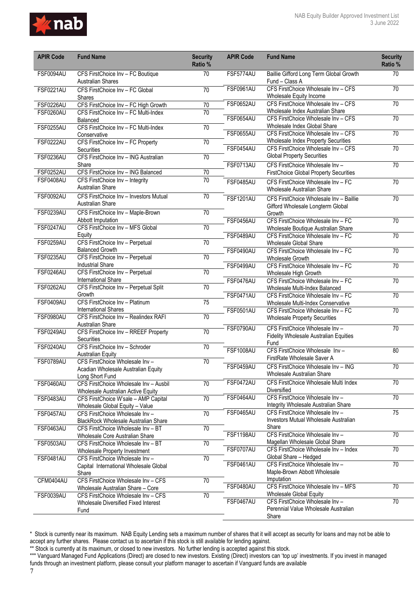

| <b>APIR Code</b> | <b>Fund Name</b>                                                    | <b>Security</b><br>Ratio % | <b>APIR Code</b> | <b>Fund Name</b>                                                                  | <b>Security</b><br>Ratio % |
|------------------|---------------------------------------------------------------------|----------------------------|------------------|-----------------------------------------------------------------------------------|----------------------------|
| FSF0094AU        | CFS FirstChoice Inv - FC Boutique<br><b>Australian Shares</b>       | 70                         | FSF5774AU        | Baillie Gifford Long Term Global Growth<br>Fund - Class A                         | 70                         |
| <b>FSF0221AU</b> | CFS FirstChoice Inv - FC Global<br><b>Shares</b>                    | 70                         | <b>FSF0961AU</b> | CFS FirstChoice Wholesale Inv - CFS<br>Wholesale Equity Income                    | 70                         |
| <b>FSF0226AU</b> | CFS FirstChoice Inv - FC High Growth                                | 70                         | <b>FSF0652AU</b> | CFS FirstChoice Wholesale Inv - CFS                                               | 70                         |
| FSF0260AU        | CFS FirstChoice Inv - FC Multi-Index                                | 70                         |                  | Wholesale Index Australian Share                                                  |                            |
|                  | Balanced                                                            |                            | <b>FSF0654AU</b> | CFS FirstChoice Wholesale Inv - CFS                                               | 70                         |
| <b>FSF0255AU</b> | CFS FirstChoice Inv - FC Multi-Index                                | 70                         |                  | Wholesale Index Global Share                                                      |                            |
|                  | Conservative                                                        |                            | <b>FSF0655AU</b> | CFS FirstChoice Wholesale Inv - CFS                                               | $\overline{70}$            |
| <b>FSF0222AU</b> | CFS FirstChoice Inv - FC Property                                   | $\overline{70}$            | <b>FSF0454AU</b> | <b>Wholesale Index Property Securities</b><br>CFS FirstChoice Wholesale Inv - CFS | 70                         |
|                  | Securities<br>CFS FirstChoice Inv - ING Australian                  | 70                         |                  | <b>Global Property Securities</b>                                                 |                            |
| <b>FSF0236AU</b> | Share                                                               |                            | <b>FSF0713AU</b> | CFS FirstChoice Wholesale Inv-                                                    | 70                         |
| FSF0252AU        | CFS FirstChoice Inv - ING Balanced                                  | $\overline{70}$            |                  | <b>FirstChoice Global Property Securities</b>                                     |                            |
| <b>FSF0408AU</b> | CFS FirstChoice Inv - Integrity                                     | 70                         |                  |                                                                                   |                            |
|                  | <b>Australian Share</b>                                             |                            | <b>FSF0485AU</b> | CFS FirstChoice Wholesale Inv - FC<br>Wholesale Australian Share                  | 70                         |
| <b>FSF0092AU</b> | CFS FirstChoice Inv - Investors Mutual                              | 70                         | <b>FSF1201AU</b> | CFS FirstChoice Wholesale Inv - Baillie                                           | 70                         |
|                  | Australian Share                                                    |                            |                  | Gifford Wholesale Longterm Global                                                 |                            |
| <b>FSF0239AU</b> | CFS FirstChoice Inv - Maple-Brown                                   | $\overline{70}$            |                  | Growth                                                                            |                            |
| <b>FSF0247AU</b> | Abbott Imputation<br>CFS FirstChoice Inv - MFS Global               | $\overline{70}$            | FSF0456AU        | CFS FirstChoice Wholesale Inv - FC                                                | $\overline{70}$            |
|                  | Equity                                                              |                            | <b>FSF0489AU</b> | Wholesale Boutique Australian Share<br>CFS FirstChoice Wholesale Inv - FC         | $\overline{70}$            |
| <b>FSF0259AU</b> | CFS FirstChoice Inv - Perpetual                                     | $\overline{70}$            |                  | Wholesale Global Share                                                            |                            |
|                  | <b>Balanced Growth</b>                                              |                            | <b>FSF0490AU</b> | CFS FirstChoice Wholesale Inv - FC                                                | $\overline{70}$            |
| <b>FSF0235AU</b> | CFS FirstChoice Inv - Perpetual                                     | 70                         |                  | Wholesale Growth                                                                  |                            |
|                  | <b>Industrial Share</b>                                             |                            | <b>FSF0499AU</b> | CFS FirstChoice Wholesale Inv - FC                                                | $\overline{70}$            |
| <b>FSF0246AU</b> | CFS FirstChoice Inv - Perpetual                                     | $\overline{70}$            |                  | Wholesale High Growth                                                             |                            |
|                  | International Share                                                 |                            | FSF0476AU        | CFS FirstChoice Wholesale Inv - FC                                                | 70                         |
| <b>FSF0262AU</b> | CFS FirstChoice Inv - Perpetual Split                               | $\overline{70}$            |                  | Wholesale Multi-Index Balanced                                                    |                            |
|                  | Growth                                                              |                            | <b>FSF0471AU</b> | CFS FirstChoice Wholesale Inv - FC                                                | $\overline{70}$            |
| <b>FSF0409AU</b> | CFS FirstChoice Inv - Platinum                                      | $\overline{75}$            |                  | Wholesale Multi-Index Conservative                                                |                            |
| <b>FSF0980AU</b> | <b>International Shares</b><br>CFS FirstChoice Inv - Realindex RAFI | $\overline{70}$            | <b>FSF0501AU</b> | CFS FirstChoice Wholesale Inv - FC                                                | $\overline{70}$            |
|                  | Australian Share                                                    |                            |                  | <b>Wholesale Property Securities</b>                                              |                            |
| <b>FSF0249AU</b> | CFS FirstChoice Inv - RREEF Property                                | 70                         | FSF0790AU        | CFS FirstChoice Wholesale Inv -                                                   | 70                         |
|                  | Securities                                                          |                            |                  | Fidelity Wholesale Australian Equities<br>Fund                                    |                            |
| <b>FSF0240AU</b> | CFS FirstChoice Inv - Schroder                                      | $\overline{70}$            | <b>FSF1008AU</b> | CFS FirstChoice Wholesale Inv-                                                    | 80                         |
|                  | <b>Australian Equity</b>                                            |                            |                  | FirstRate Wholesale Saver A                                                       |                            |
| FSF0789AU        | CFS FirstChoice Wholesale Inv -                                     | 70                         | FSF0459AU        | CFS FirstChoice Wholesale Inv - ING                                               | 70                         |
|                  | Acadian Wholesale Australian Equity                                 |                            |                  | Wholesale Australian Share                                                        |                            |
| FSF0460AU        | Long Short Fund<br>CFS FirstChoice Wholesale Inv - Ausbil           | 70                         | FSF0472AU        | CFS FirstChoice Wholesale Multi Index                                             | 70                         |
|                  | Wholesale Australian Active Equity                                  |                            |                  | Diversified                                                                       |                            |
| FSF0483AU        | CFS FirstChoice W'sale - AMP Capital                                | 70                         | FSF0464AU        | CFS FirstChoice Wholesale Inv -                                                   | $\overline{70}$            |
|                  | Wholesale Global Equity - Value                                     |                            |                  | Integrity Wholesale Australian Share                                              |                            |
| <b>FSF0457AU</b> | CFS FirstChoice Wholesale Inv -                                     | 70                         | FSF0465AU        | CFS FirstChoice Wholesale Inv -                                                   | $\overline{75}$            |
|                  | <b>BlackRock Wholesale Australian Share</b>                         |                            |                  | Investors Mutual Wholesale Australian                                             |                            |
| <b>FSF0463AU</b> | CFS FirstChoice Wholesale Inv - BT                                  | $\overline{70}$            |                  | Share                                                                             |                            |
|                  | Wholesale Core Australian Share                                     |                            | <b>FSF1198AU</b> | CFS FirstChoice Wholesale Inv -                                                   | 70                         |
| <b>FSF0503AU</b> | CFS FirstChoice Wholesale Inv - BT                                  | $\overline{70}$            | FSF0707AU        | Magellan Wholesale Global Share<br>CFS FirstChoice Wholesale Inv - Index          | 70                         |
|                  | Wholesale Property Investment<br>CFS FirstChoice Wholesale Inv -    |                            |                  | Global Share - Hedged                                                             |                            |
| FSF0481AU        | Capital International Wholesale Global                              | $70\,$                     | <b>FSF0461AU</b> | CFS FirstChoice Wholesale Inv -                                                   | 70                         |
|                  | Share                                                               |                            |                  | Maple-Brown Abbott Wholesale                                                      |                            |
| CFM0404AU        | CFS FirstChoice Wholesale Inv - CFS                                 | 70                         |                  | Imputation                                                                        |                            |
|                  | Wholesale Australian Share - Core                                   |                            | FSF0480AU        | CFS FirstChoice Wholesale Inv - MFS                                               | $\overline{70}$            |
| <b>FSF0039AU</b> | CFS FirstChoice Wholesale Inv - CFS                                 | $70\,$                     |                  | Wholesale Global Equity                                                           |                            |
|                  | Wholesale Diversified Fixed Interest                                |                            | FSF0467AU        | CFS FirstChoice Wholesale Inv -                                                   | $\overline{70}$            |
|                  | Fund                                                                |                            |                  | Perennial Value Wholesale Australian<br>Share                                     |                            |
|                  |                                                                     |                            |                  |                                                                                   |                            |

\*\* Stock is currently at its maximum, or closed to new investors. No further lending is accepted against this stock.

<sup>\*\*\*</sup> Vanguard Managed Fund Applications (Direct) are closed to new investors. Existing (Direct) investors can 'top up' investments. If you invest in managed funds through an investment platform, please consult your platform manager to ascertain if Vanguard funds are available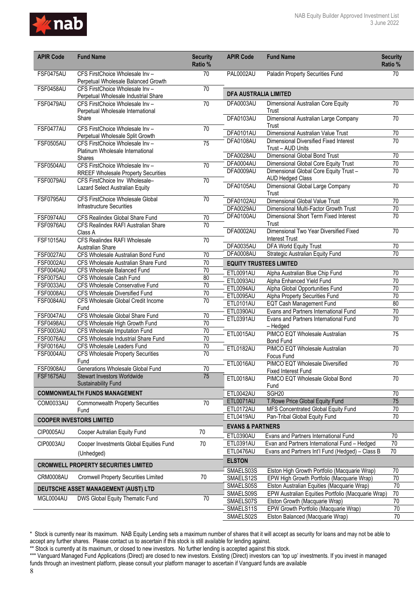

| <b>APIR Code</b>                     | <b>Fund Name</b>                                                        | <b>Security</b><br>Ratio % | <b>APIR Code</b>                         | <b>Fund Name</b>                                                                                  | <b>Security</b><br>Ratio % |
|--------------------------------------|-------------------------------------------------------------------------|----------------------------|------------------------------------------|---------------------------------------------------------------------------------------------------|----------------------------|
| FSF0475AU                            | CFS FirstChoice Wholesale Inv -<br>Perpetual Wholesale Balanced Growth  | 70                         | PAL0002AU                                | Paladin Property Securities Fund                                                                  | 70                         |
| FSF0458AU                            | CFS FirstChoice Wholesale Inv -<br>Perpetual Wholesale Industrial Share | $\overline{70}$            | <b>DFA AUSTRALIA LIMITED</b>             |                                                                                                   |                            |
| FSF0479AU                            | CFS FirstChoice Wholesale Inv -<br>Perpetual Wholesale International    | 70                         | DFA0003AU                                | Dimensional Australian Core Equity<br>Trust                                                       | $\overline{70}$            |
|                                      | Share                                                                   |                            | DFA0103AU                                | Dimensional Australian Large Company<br>Trust                                                     | $\overline{70}$            |
| FSF0477AU                            | CFS FirstChoice Wholesale Inv -<br>Perpetual Wholesale Split Growth     | 70                         | DFA0101AU                                | Dimensional Australian Value Trust                                                                | $\overline{70}$            |
| <b>FSF0505AU</b>                     | CFS FirstChoice Wholesale Inv -<br>Platinum Wholesale International     | 75                         | DFA0108AU                                | <b>Dimensional Diversified Fixed Interest</b><br>Trust - AUD Units                                | $\overline{70}$            |
|                                      | <b>Shares</b>                                                           |                            | DFA0028AU                                | Dimensional Global Bond Trust                                                                     | 70                         |
| <b>FSF0504AU</b>                     | CFS FirstChoice Wholesale Inv -                                         | 70                         | DFA0004AU                                | Dimensional Global Core Equity Trust                                                              | $\overline{70}$            |
|                                      | <b>RREEF Wholesale Property Securities</b>                              |                            | DFA0009AU                                | Dimensional Global Core Equity Trust -<br><b>AUD Hedged Class</b>                                 | $\overline{70}$            |
| FSF0079AU                            | CFS FirstChoice Inv Wholesale-<br>Lazard Select Australian Equity       | 70                         | DFA0105AU                                | Dimensional Global Large Company<br>Trust                                                         | $\overline{70}$            |
| FSF0795AU                            | CFS FirstChoice Wholesale Global                                        | $\overline{70}$            | DFA0102AU                                | <b>Dimensional Global Value Trust</b>                                                             | $\overline{70}$            |
|                                      | <b>Infrastructure Securities</b>                                        |                            | DFA0029AU                                | Dimensional Multi-Factor Growth Trust                                                             | 70                         |
| FSF0974AU                            | CFS Realindex Global Share Fund                                         | $\overline{70}$            | DFA0100AU                                | Dimensional Short Term Fixed Interest                                                             | $\overline{70}$            |
| FSF0976AU                            | CFS Realindex RAFI Australian Share                                     | $\overline{70}$            |                                          | Trust                                                                                             |                            |
|                                      | Class A                                                                 |                            | DFA0002AU                                | Dimensional Two Year Diversified Fixed<br><b>Interest Trust</b>                                   | $\overline{70}$            |
| <b>FSF1015AU</b>                     | <b>CFS Realindex RAFI Wholesale</b><br>Australian Share                 | $\overline{70}$            | DFA0035AU                                | <b>DFA World Equity Trust</b>                                                                     | $\overline{70}$            |
| <b>FSF0027AU</b>                     | CFS Wholesale Australian Bond Fund                                      | 70                         | DFA0008AU                                | Strategic Australian Equity Fund                                                                  | $\overline{70}$            |
| <b>FSF0002AU</b>                     | CFS Wholesale Australian Share Fund                                     | $\overline{70}$            |                                          | <b>EQUITY TRUSTEES LIMITED</b>                                                                    |                            |
| <b>FSF0040AU</b>                     | CFS Wholesale Balanced Fund                                             | $\overline{70}$            | ETL0091AU                                | Alpha Australian Blue Chip Fund                                                                   | 70                         |
| FSF0075AU                            | CFS Wholesale Cash Fund                                                 | 80                         | <b>ETL0093AU</b>                         | Alpha Enhanced Yield Fund                                                                         | 70                         |
| <b>FSF0033AU</b>                     | CFS Wholesale Conservative Fund                                         | 70                         | ETL0094AU                                | Alpha Global Opportunities Fund                                                                   | 70                         |
| <b>FSF0008AU</b>                     | CFS Wholesale Diversified Fund                                          | 70                         | ETL0095AU                                | Alpha Property Securities Fund                                                                    | 70                         |
| <b>FSF0084AU</b>                     | CFS Wholesale Global Credit Income                                      | $\overline{70}$            | ETL0101AU                                | <b>EQT Cash Management Fund</b>                                                                   | 80                         |
| FSF0047AU                            | Fund<br>CFS Wholesale Global Share Fund                                 | $70$                       | ETL0390AU                                | Evans and Partners International Fund                                                             | $\overline{70}$            |
| <b>FSF0498AU</b>                     | CFS Wholesale High Growth Fund                                          | $\overline{70}$            | ETL0391AU                                | Evans and Partners International Fund                                                             | $\overline{70}$            |
| <b>FSF0003AU</b>                     | CFS Wholesale Imputation Fund                                           | $\overline{70}$            |                                          | - Hedged                                                                                          |                            |
| FSF0076AU                            | CFS Wholesale Industrial Share Fund                                     | 70                         | <b>ETL0015AU</b>                         | PIMCO EQT Wholesale Australian<br><b>Bond Fund</b>                                                | $\overline{75}$            |
| <b>FSF0016AU</b>                     | CFS Wholesale Leaders Fund                                              | 70                         | <b>ETL0182AU</b>                         | PIMCO EQT Wholesale Australian                                                                    | 70                         |
| <b>FSF0004AU</b>                     | <b>CFS Wholesale Property Securities</b>                                | 70                         |                                          | Focus Fund                                                                                        |                            |
|                                      | Fund                                                                    |                            | ETL0016AU                                | PIMCO EQT Wholesale Diversified                                                                   | 70                         |
| <b>FSF0908AU</b><br><b>FSF1675AU</b> | Generations Wholesale Global Fund                                       | 70                         |                                          | <b>Fixed Interest Fund</b>                                                                        |                            |
|                                      | <b>Stewart Investors Worldwide</b><br>Sustainability Fund               | 75                         | ETL0018AU                                | PIMCO EQT Wholesale Global Bond<br>Fund                                                           | 70                         |
|                                      | <b>COMMONWEALTH FUNDS MANAGEMENT</b>                                    |                            | ETL0042AU                                | SGH <sub>20</sub>                                                                                 | 70                         |
| COM0033AU                            | <b>Commonwealth Property Securities</b>                                 | 70                         | ETL0071AU                                | T.Rowe Price Global Equity Fund                                                                   | 75                         |
|                                      | Fund                                                                    |                            | ETL0172AU                                | MFS Concentrated Global Equity Fund                                                               | 70                         |
|                                      | <b>COOPER INVESTORS LIMITED</b>                                         |                            | ETL0419AU                                | Pan-Tribal Global Equity Fund                                                                     | $\overline{70}$            |
| CIP0005AU                            | Cooper Autralian Equity Fund                                            | 70                         | <b>EVANS &amp; PARTNERS</b><br>ETL0390AU | Evans and Partners International Fund                                                             | 70                         |
| CIP0003AU                            | Cooper Investments Global Equities Fund                                 | 70                         | ETL0391AU                                | Evan and Partners International Fund - Hedged                                                     | 70                         |
|                                      | (Unhedged)                                                              |                            | ETL0476AU                                | Evans and Partners Int'l Fund (Hedged) - Class B                                                  | 70                         |
|                                      | <b>CROMWELL PROPERTY SECURITIES LIMITED</b>                             |                            | <b>ELSTON</b>                            |                                                                                                   |                            |
| CRM0008AU                            | <b>Cromwell Property Securities Limited</b>                             | 70                         | SMAELS03S                                | Elston High Growth Portfolio (Macquarie Wrap)                                                     | 70                         |
|                                      |                                                                         |                            | SMAELS12S                                | EPW High Growth Portfolio (Macquarie Wrap)                                                        | $70\,$<br>70               |
|                                      | DEUTSCHE ASSET MANAGEMENT (AUST) LTD                                    |                            | SMAELS05S<br>SMAELS09S                   | Elston Australian Equities (Macquarie Wrap)<br>EPW Australian Equities Portfolio (Macquarie Wrap) | 70                         |
| MGL0004AU                            | DWS Global Equity Thematic Fund                                         | 70                         | SMAELS07S                                | Elston Growth (Macquarie Wrap)                                                                    | $\overline{70}$            |
|                                      |                                                                         |                            | SMAELS11S                                | EPW Growth Portfolio (Macquarie Wrap)                                                             | 70                         |
|                                      |                                                                         |                            | SMAELS02S                                | Elston Balanced (Macquarie Wrap)                                                                  | 70                         |

\*\* Stock is currently at its maximum, or closed to new investors. No further lending is accepted against this stock.

<sup>\*\*\*</sup> Vanguard Managed Fund Applications (Direct) are closed to new investors. Existing (Direct) investors can 'top up' investments. If you invest in managed funds through an investment platform, please consult your platform manager to ascertain if Vanguard funds are available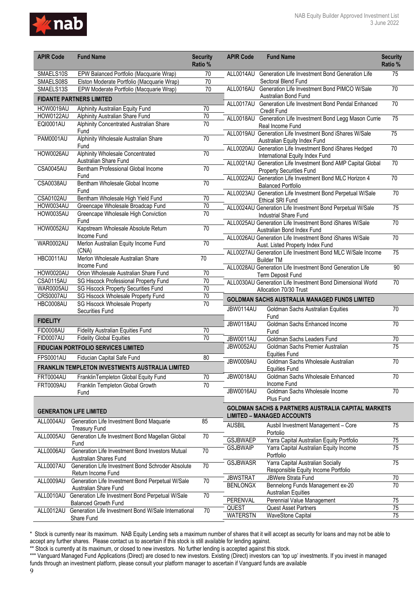

| <b>APIR Code</b> | <b>Fund Name</b>                                                                     | <b>Security</b><br>Ratio % | <b>APIR Code</b>                   | <b>Fund Name</b>                                                                                | <b>Security</b><br>Ratio % |
|------------------|--------------------------------------------------------------------------------------|----------------------------|------------------------------------|-------------------------------------------------------------------------------------------------|----------------------------|
| SMAELS10S        | EPW Balanced Portfolio (Macquarie Wrap)                                              | 70                         |                                    | ALL0014AU Generation Life Investment Bond Generation Life                                       | 75                         |
| SMAELS08S        | Elston Moderate Portfolio (Macquarie Wrap)                                           | 70                         |                                    | Sectoral Blend Fund                                                                             |                            |
| SMAELS13S        | EPW Moderate Portfolio (Macquarie Wrap)                                              | $\overline{70}$            |                                    | ALL0016AU Generation Life Investment Bond PIMCO W/Sale                                          | $\overline{70}$            |
|                  | <b>FIDANTE PARTNERS LIMITED</b>                                                      |                            |                                    | Australian Bond Fund<br>ALL0017AU Generation Life Investment Bond Pendal Enhanced               | $\overline{70}$            |
| HOW0019AU        | Alphinity Australian Equity Fund                                                     | 70                         |                                    | <b>Credit Fund</b>                                                                              |                            |
| <b>HOW0122AU</b> | Alphinity Australian Share Fund                                                      | 70                         |                                    | ALL0018AU Generation Life Investment Bond Legg Mason Currie                                     | 75                         |
| EQI0001AU        | Alphinity Concentrated Australian Share                                              | 70                         |                                    | Real Income Fund                                                                                |                            |
| <b>PAM0001AU</b> | Fund<br>Alphinity Wholesale Australian Share                                         | 70                         |                                    | ALL0019AU Generation Life Investment Bond iShares W/Sale<br>Australian Equity Index Fund        | $\overline{75}$            |
| HOW0026AU        | Fund<br><b>Alphinity Wholesale Concentrated</b>                                      | 70                         |                                    | ALL0020AU Generation Life Investment Bond iShares Hedged<br>International Equity Index Fund     | $\overline{70}$            |
| CSA0045AU        | Australian Share Fund<br>Bentham Professional Global Income                          | 70                         |                                    | ALL0021AU Generation Life Investment Bond AMP Capital Global<br><b>Property Securities Fund</b> | 70                         |
| <b>CSA0038AU</b> | Fund<br>Bentham Wholesale Global Income                                              | 70                         |                                    | ALL0022AU Generation Life Investment Bond MLC Horizon 4<br><b>Balanced Portfolio</b>            | 70                         |
| <b>CSA0102AU</b> | Fund<br>Bentham Wholesale High Yield Fund                                            | $\overline{70}$            |                                    | ALL0023AU Generation Life Investment Bond Perpetual W/Sale                                      | 70                         |
| HOW0034AU        | Greencape Wholesale Broadcap Fund                                                    | $\overline{70}$            |                                    | <b>Ethical SRI Fund</b>                                                                         |                            |
| HOW0035AU        | Greencape Wholesale High Conviction                                                  | 70                         |                                    | ALL0024AU Generation Life Investment Bond Perpetual W/Sale                                      | 75                         |
| <b>HOW0052AU</b> | Fund<br>Kapstream Wholesale Absolute Return                                          | 70                         |                                    | <b>Industrial Share Fund</b><br>ALL0025AU Generation Life Investment Bond iShares W/Sale        | 70                         |
|                  | Income Fund                                                                          |                            |                                    | Australian Bond Index Fund<br>ALL0026AU Generation Life Investment Bond iShares W/Sale          | 70                         |
| <b>WAR0002AU</b> | Merlon Australian Equity Income Fund<br>(CNA)                                        | 70                         |                                    | Aust. Listed Property Index Fund                                                                |                            |
| HBC0011AU        | Merlon Wholesale Australian Share                                                    | $\overline{70}$            |                                    | ALL0027AU Generation Life Investment Bond MLC W/Sale Income<br><b>Builder TM</b>                | 75                         |
| HOW0020AU        | Income Fund<br>Orion Wholesale Australian Share Fund                                 | 70                         |                                    | ALL0028AU Generation Life Investment Bond Generation Life                                       | 90                         |
| <b>CSA0115AU</b> | SG Hiscock Professional Property Fund                                                | 70                         |                                    | Term Deposit Fund                                                                               |                            |
| <b>WAR0005AU</b> | SG Hiscock Property Securities Fund                                                  | $\overline{70}$            |                                    | ALL0030AU Generation Life Investment Bond Dimensional World<br>Allocation 70/30 Trust           | $\overline{70}$            |
| CRS0007AU        | SG Hiscock Wholesale Property Fund                                                   | $\overline{70}$            |                                    |                                                                                                 |                            |
| HBC0008AU        | <b>SG Hiscock Wholesale Property</b>                                                 | 70                         |                                    | <b>GOLDMAN SACHS AUSTRALIA MANAGED FUNDS LIMITED</b>                                            |                            |
| <b>FIDELITY</b>  | Securities Fund                                                                      |                            | JBW0114AU                          | Goldman Sachs Australian Equities<br>Fund                                                       | $\overline{70}$            |
|                  |                                                                                      |                            | <b>JBW0118AU</b>                   | Goldman Sachs Enhanced Income                                                                   | 70                         |
| FID0008AU        | Fidelity Australian Equities Fund                                                    | 70                         |                                    | Fund                                                                                            |                            |
| FID0007AU        | <b>Fidelity Global Equities</b>                                                      | 70                         | JBW0011AU                          | Goldman Sachs Leaders Fund                                                                      | 70<br>$\overline{75}$      |
| <b>FPS0001AU</b> | FIDUCIAN PORTFOLIO SERVICES LIMITED<br>Fiducian Capital Safe Fund                    | 80                         | JBW0052AU                          | Goldman Sachs Premier Australian<br><b>Equities Fund</b>                                        |                            |
|                  | FRANKLIN TEMPLETON INVESTMENTS AUSTRALIA LIMITED                                     |                            | JBW0009AU                          | Goldman Sachs Wholesale Australian<br><b>Equities Fund</b>                                      | $\overline{70}$            |
| <b>FRT0004AU</b> | FranklinTempleton Global Equity Fund                                                 | 70                         | JBW0018AU                          | Goldman Sachs Wholesale Enhanced                                                                | 70                         |
| <b>FRT0009AU</b> | Franklin Templeton Global Growth<br>Fund                                             | 70                         | JBW0016AU                          | Income Fund<br>Goldman Sachs Wholesale Income                                                   | $\overline{70}$            |
|                  |                                                                                      |                            |                                    | Plus Fund<br><b>GOLDMAN SACHS &amp; PARTNERS AUSTRALIA CAPITAL MARKETS</b>                      |                            |
|                  | <b>GENERATION LIFE LIMITED</b><br>ALL0004AU Generation Life Investment Bond Maquarie | 85                         |                                    | <b>LIMITED - MANAGED ACCOUNTS</b>                                                               |                            |
|                  | <b>Treasury Fund</b><br>Generation Life Investment Bond Magellan Global              | 70                         | <b>AUSBIL</b>                      | Ausbil Investment Management - Core<br>Portolio                                                 | 75                         |
| ALL0005AU        | Fund                                                                                 |                            | <b>GSJBWAEP</b><br><b>GSJBWAIP</b> | Yarra Capital Australian Equity Portfolio<br>Yarra Capital Australian Equity Income             | 75<br>75                   |
| ALL0006AU        | Generation Life Investment Bond Investors Mutual<br>Australian Shares Fund           | $\overline{70}$            |                                    | Portfolio<br>Yarra Capital Australian Socially                                                  | 75                         |
| ALL0007AU        | Generation Life Investment Bond Schroder Absolute<br>Return Income Fund              | 70                         | <b>GSJBWASR</b>                    | Responsible Equity Income Portfolio                                                             |                            |
| ALL0009AU        | Generation Life Investment Bond Perpetual W/Sale                                     | $\overline{70}$            | <b>JBWSTRAT</b>                    | JBWere Strata Fund                                                                              | 70                         |
|                  | Australian Share Fund<br>ALL0010AU Generation Life Investment Bond Perpetual W/Sale  | $\overline{70}$            | <b>BENLONGX</b>                    | Bennelong Funds Management ex-20<br><b>Australian Equities</b>                                  | 70                         |
|                  | <b>Balanced Growth Fund</b>                                                          |                            | PERENVAL                           | Perennial Value Management                                                                      | 75                         |
|                  | ALL0012AU Generation Life Investment Bond W/Sale International                       | 70                         | QUEST                              | <b>Quest Asset Partners</b>                                                                     | 75                         |
|                  | Share Fund                                                                           |                            | <b>WATERSTN</b>                    | <b>WaveStone Capital</b>                                                                        | 75                         |

\*\* Stock is currently at its maximum, or closed to new investors. No further lending is accepted against this stock.

\*\*\* Vanguard Managed Fund Applications (Direct) are closed to new investors. Existing (Direct) investors can 'top up' investments. If you invest in managed funds through an investment platform, please consult your platform manager to ascertain if Vanguard funds are available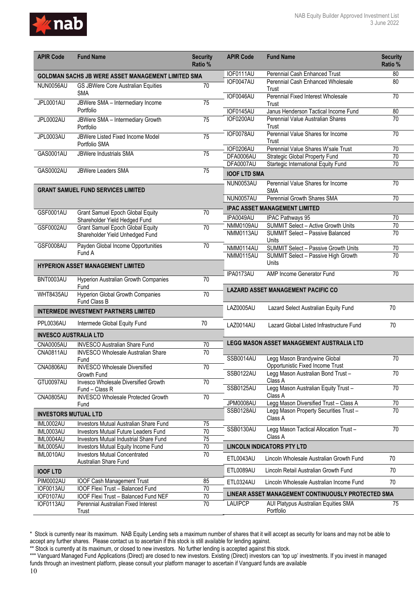

| <b>APIR Code</b>             | <b>Fund Name</b>                                                              | <b>Security</b><br>Ratio % | <b>APIR Code</b>       | <b>Fund Name</b>                                                             | <b>Security</b><br>Ratio %         |
|------------------------------|-------------------------------------------------------------------------------|----------------------------|------------------------|------------------------------------------------------------------------------|------------------------------------|
|                              | GOLDMAN SACHS JB WERE ASSET MANAGEMENT LIMITED SMA                            |                            | IOF0111AU              | Perennial Cash Enhanced Trust                                                | 80                                 |
| NUN0056AU                    | GS JBWere Core Australian Equities<br><b>SMA</b>                              | 70                         | IOF0047AU              | Perennial Cash Enhanced Wholesale<br>Trust                                   | 80                                 |
| JPL0001AU                    | JBWere SMA - Intermediary Income<br>Portfolio                                 | $\overline{75}$            | IOF0046AU              | Perennial Fixed Interest Wholesale<br>Trust                                  | 70                                 |
|                              |                                                                               |                            | IOF0145AU              | Janus Henderson Tactical Income Fund                                         | 80<br>70                           |
| JPL0002AU                    | JBWere SMA - Intermediary Growth<br>Portfolio                                 | $\overline{75}$            | IOF0200AU              | Perennial Value Australian Shares<br>Trust                                   |                                    |
| JPL0003AU                    | JBWere Listed Fixed Income Model<br>Portfolio SMA                             | 75                         | IOF0078AU              | Perennial Value Shares for Income<br>Trust                                   | 70                                 |
| GAS0001AU                    | JBWere Industrials SMA                                                        | $\overline{75}$            | IOF0206AU<br>DFA0006AU | Perennial Value Shares W'sale Trust                                          | $\overline{70}$<br>$\overline{70}$ |
|                              |                                                                               |                            | DFA0007AU              | <b>Strategic Global Property Fund</b><br>Startegic International Equity Fund | 70                                 |
| GAS0002AU                    | <b>JBWere Leaders SMA</b>                                                     | 75                         | <b>IOOF LTD SMA</b>    |                                                                              |                                    |
|                              | <b>GRANT SAMUEL FUND SERVICES LIMITED</b>                                     |                            | NUN0053AU              | Perennial Value Shares for Income<br><b>SMA</b>                              | 70                                 |
|                              |                                                                               |                            | NUN0057AU              | Perennial Growth Shares SMA                                                  | 70                                 |
|                              |                                                                               |                            |                        | <b>IPAC ASSET MANAGEMENT LIMITED</b>                                         |                                    |
| GSF0001AU                    | <b>Grant Samuel Epoch Global Equity</b>                                       | 70                         | IPA0049AU              | IPAC Pathways 95                                                             | 70                                 |
| GSF0002AU                    | Shareholder Yield Hedged Fund<br><b>Grant Samuel Epoch Global Equity</b>      | $\overline{70}$            | <b>NMM0109AU</b>       | <b>SUMMIT Select - Active Growth Units</b>                                   | 70                                 |
|                              | Shareholder Yield Unhedged Fund                                               |                            | NMM0113AU              | <b>SUMMIT Select - Passive Balanced</b><br>Units                             | $\overline{70}$                    |
| GSF0008AU                    | Payden Global Income Opportunities                                            | $\overline{70}$            | NMM0114AU              | <b>SUMMIT Select - Passive Growth Units</b>                                  | 70                                 |
|                              | Fund A                                                                        |                            | NMM0115AU              | SUMMIT Select - Passive High Growth                                          | $\overline{70}$                    |
|                              | <b>HYPERION ASSET MANAGEMENT LIMITED</b>                                      |                            | IPA0173AU              | Units<br>AMP Income Generator Fund                                           | 70                                 |
| BNT0003AU                    | Hyperion Australian Growth Companies<br>Fund                                  | $\overline{70}$            |                        |                                                                              |                                    |
| WHT8435AU                    | Hyperion Global Growth Companies<br>Fund Class B                              | 70                         |                        | <b>LAZARD ASSET MANAGEMENT PACIFIC CO</b>                                    |                                    |
|                              | <b>INTERMEDE INVESTMENT PARTNERS LIMITED</b>                                  |                            | <b>LAZ0005AU</b>       | Lazard Select Australian Equity Fund                                         | 70                                 |
| PPL0036AU                    | Intermede Global Equity Fund                                                  | 70                         | LAZ0014AU              | Lazard Global Listed Infrastructure Fund                                     | 70                                 |
| <b>INVESCO AUSTRALIA LTD</b> |                                                                               |                            |                        |                                                                              |                                    |
| CNA0005AU                    | <b>INVESCO Australian Share Fund</b>                                          | 70                         |                        | <b>LEGG MASON ASSET MANAGEMENT AUSTRALIA LTD</b>                             |                                    |
| <b>CNA0811AU</b>             | <b>INVESCO Wholesale Australian Share</b><br>Fund                             | $\overline{70}$            | SSB0014AU              | Legg Mason Brandywine Global<br>Opportunistic Fixed Income Trust             | 70                                 |
| CNA0806AU                    | <b>INVESCO Wholesale Diversified</b><br>Growth Fund                           | 70                         | <b>SSB0122AU</b>       | Legg Mason Australian Bond Trust-                                            | 70                                 |
| GTU0097AU                    | Invesco Wholesale Diversified Growth<br>Fund - Class R                        | $\overline{70}$            | SSB0125AU              | Class A<br>Legg Mason Australian Equity Trust-                               | 70                                 |
| <b>CNA0805AU</b>             | <b>INVESCO Wholesale Protected Growth</b>                                     | 70                         | <b>JPM0008AU</b>       | Class A<br>Legg Mason Diversified Trust - Class A                            | $70\,$                             |
|                              | Fund                                                                          |                            | SSB0128AU              | Legg Mason Property Securities Trust-                                        | 70                                 |
| <b>INVESTORS MUTUAL LTD</b>  |                                                                               |                            |                        | Class A                                                                      |                                    |
| IML0002AU                    | Investors Mutual Australian Share Fund                                        | 75                         | SSB0130AU              | Legg Mason Tactical Allocation Trust-                                        | 70                                 |
| IML0003AU                    | Investors Mutual Future Leaders Fund                                          | 70                         |                        | Class A                                                                      |                                    |
| IML0004AU<br>IML0005AU       | Investors Mutual Industrial Share Fund<br>Investors Mutual Equity Income Fund | 75<br>70                   |                        | <b>LINCOLN INDICATORS PTY LTD</b>                                            |                                    |
| IML0010AU                    | <b>Investors Mutual Concentrated</b><br>Australian Share Fund                 | $\overline{70}$            | ETL0043AU              | Lincoln Wholesale Australian Growth Fund                                     | 70                                 |
| <b>IOOF LTD</b>              |                                                                               |                            | ETL0089AU              | Lincoln Retail Australian Growth Fund                                        | 70                                 |
| <b>PIM0002AU</b>             | <b>IOOF Cash Management Trust</b>                                             | 85                         | ETL0324AU              | Lincoln Wholesale Australian Income Fund                                     | 70                                 |
| IOF0013AU                    | IOOF Flexi Trust - Balanced Fund                                              | 70                         |                        | LINEAR ASSET MANAGEMENT CONTINUOUSLY PROTECTED SMA                           |                                    |
| IOF0107AU                    | IOOF Flexi Trust - Balanced Fund NEF                                          | 70                         |                        |                                                                              |                                    |
| IOF0113AU                    | Perennial Australian Fixed Interest<br>Trust                                  | $\overline{70}$            | <b>LAUIPCP</b>         | AUI Platypus Australian Equities SMA<br>Portfolio                            | 75                                 |

<sup>\*</sup> Stock is currently near its maximum. NAB Equity Lending sets a maximum number of shares that it will accept as security for loans and may not be able to accept any further shares. Please contact us to ascertain if this stock is still available for lending against.

<sup>\*\*</sup> Stock is currently at its maximum, or closed to new investors. No further lending is accepted against this stock.

<sup>\*\*\*</sup> Vanguard Managed Fund Applications (Direct) are closed to new investors. Existing (Direct) investors can 'top up' investments. If you invest in managed funds through an investment platform, please consult your platform manager to ascertain if Vanguard funds are available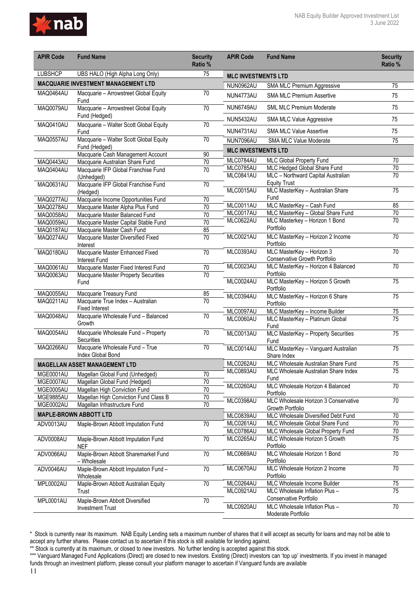

| <b>LUBSHCP</b><br>UBS HALO (High Alpha Long Only)<br>75<br><b>MLC INVESTMENTS LTD</b><br><b>MACQUARIE INVESTMENT MANAGEMENT LTD</b><br>NUN0962AU<br>75<br>SMA MLC Premium Aggressive<br>MAQ0464AU<br>70<br>Macquarie - Arrowstreet Global Equity<br>75<br>NUN4773AU<br><b>SMA MLC Premium Assertive</b><br>Fund<br>75<br>NUN6749AU<br><b>SML MLC Premium Moderate</b><br>Macquarie - Arrowstreet Global Equity<br>MAQ0079AU<br>$\overline{70}$<br>Fund (Hedged)<br>75<br>NUN5432AU<br>SMA MLC Value Aggressive<br>MAQ0410AU<br>$\overline{70}$<br>Macquarie - Walter Scott Global Equity<br>75<br>NUN4731AU<br><b>SMA MLC Value Assertive</b><br>Fund<br>Macquarie - Walter Scott Global Equity<br>MAQ0557AU<br>70<br>$\overline{75}$<br>NUN7096AU<br><b>SMA MLC Value Moderate</b><br>Fund (Hedged)<br><b>MLC INVESTMENTS LTD</b><br>Macquarie Cash Management Account<br>90<br>MLC0784AU<br>70<br>MLC Global Property Fund<br>Macquarie Australian Share Fund<br>$\overline{70}$<br>MAQ0443AU<br>$\overline{70}$<br>MLC0785AU<br>MLC Hedged Global Share Fund<br>MAQ0404AU<br>Macquarie IFP Global Franchise Fund<br>70<br>MLC0841AU<br>MLC - Northward Capital Australian<br>70<br>(Unhedged)<br><b>Equity Trust</b><br>Macquarie IFP Global Franchise Fund<br>MAQ0631AU<br>$\overline{70}$<br>MLC MasterKey - Australian Share<br>$\overline{75}$<br>MLC0015AU<br>(Hedged)<br>Fund<br>MAQ0277AU<br>Macquarie Income Opportunities Fund<br>70<br>MLC MasterKey - Cash Fund<br>85<br>MLC0011AU<br>MAQ0278AU<br>Macquarie Master Alpha Plus Fund<br>70<br>MLC0017AU<br>MLC MasterKey - Global Share Fund<br>70<br>70<br>MAQ0058AU<br>Macquarie Master Balanced Fund<br>70<br>MLC0622AU<br>MLC Masterkey - Horizon 1 Bond<br>70<br>MAQ0059AU<br>Macquarie Master Capital Stable Fund<br>Portfolio<br>85<br>MAQ0187AU<br>Macquarie Master Cash Fund<br>MLC0021AU<br>MLC MasterKey - Horizon 2 Income<br>70<br>MAQ0274AU<br>$\overline{70}$<br>Macquarie Master Diversified Fixed<br>Portfolio<br>Interest<br>MLC MasterKey - Horizon 3<br>70<br>MLC0393AU<br>MAQ0180AU<br>Macquarie Master Enhanced Fixed<br>$\overline{70}$<br>Conservative Growth Portfolio<br>Interest Fund<br>MLC0023AU<br>MLC MasterKey - Horizon 4 Balanced<br>$\overline{70}$<br>MAQ0061AU<br>$\overline{70}$<br>Macquarie Master Fixed Interest Fund<br>Portfolio<br>$\overline{70}$<br>MAQ0063AU<br>Macquarie Master Property Securities<br>MLC MasterKey - Horizon 5 Growth<br>75<br>MLC0024AU<br>Fund<br>Portfolio<br>MAQ0055AU<br>Macquarie Treasury Fund<br>85<br>MLC0394AU<br>MLC MasterKey - Horizon 6 Share<br>$\overline{75}$<br>$\overline{70}$<br>MAQ0211AU<br>Macquarie True Index - Australian<br>Portfolio<br><b>Fixed Interest</b><br>MLC MasterKey - Income Builder<br>MLC0097AU<br>75<br>MAQ0048AU<br>Macquarie Wholesale Fund - Balanced<br>70<br>MLC MasterKey - Platinum Global<br>75<br>MLC0060AU<br>Growth<br>Fund<br>MAQ0054AU<br>Macquarie Wholesale Fund - Property<br>70<br>MLC0013AU<br>MLC MasterKey - Property Securities<br>75<br>Securities<br>Fund<br>Macquarie Wholesale Fund - True<br>MAQ0266AU<br>70<br>MLC MasterKey - Vanguard Australian<br>$\overline{75}$<br>MLC0014AU<br>Index Global Bond<br>Share Index<br>MLC0262AU<br>MLC Wholesale Australian Share Fund<br>75<br><b>MAGELLAN ASSET MANAGEMENT LTD</b><br>MLC0893AU<br>$\overline{75}$<br>MLC Wholesale Australian Share Index<br>MGE0001AU<br>70<br>Magellan Global Fund (Unhedged)<br>Fund<br>MGE0007AU<br>70<br>Magellan Global Fund (Hedged)<br>70<br>MLC0260AU<br>MLC Wholesale Horizon 4 Balanced<br>$\overline{70}$<br>MGE0005AU<br>Magellan High Conviction Fund<br>Portfolio<br>MGE9885AU<br>Magellan High Conviction Fund Class B<br>70<br>MLC0398AU<br>$\overline{70}$<br>MLC Wholesale Horizon 3 Conservative<br>70<br>MGE0002AU<br>Magellan Infrastructure Fund<br>Growth Portfolio<br><b>MAPLE-BROWN ABBOTT LTD</b><br>MLC0839AU<br>$\overline{70}$<br>MLC Wholesale Diversified Debt Fund<br>MLC0261AU<br>70<br>MLC Wholesale Global Share Fund<br>ADV0013AU<br>Maple-Brown Abbott Imputation Fund<br>70<br>MLC0786AU<br>MLC Wholesale Global Property Fund<br>70<br>$\overline{75}$<br>MLC0265AU<br>MLC Wholesale Horizon 5 Growth<br>ADV0008AU<br>Maple-Brown Abbott Imputation Fund<br>70<br>Portfolio<br><b>NEF</b><br>70<br>$\overline{70}$<br>ADV0066AU<br>Maple-Brown Abbott Sharemarket Fund<br>MLC0669AU<br>MLC Wholesale Horizon 1 Bond<br>Portfolio<br>- Wholesale<br>MLC0670AU<br>MLC Wholesale Horizon 2 Income<br>70<br>ADV0046AU<br>Maple-Brown Abbott Imputation Fund -<br>70<br>Portfolio<br>Wholesale<br>MLC0264AU<br>$\overline{75}$<br>Maple-Brown Abbott Australian Equity<br>$\overline{70}$<br>MLC Wholesale Income Builder<br>MPL0002AU<br>$\overline{75}$<br>MLC0921AU<br>MLC Wholesale Inflation Plus -<br>Trust<br>Conservative Portfolio<br>Maple-Brown Abbott Diversified<br>MPL0001AU<br>70<br>MLC0920AU<br>MLC Wholesale Inflation Plus -<br>70<br><b>Investment Trust</b> | <b>APIR Code</b> | <b>Fund Name</b> | <b>Security</b><br>Ratio % | <b>APIR Code</b> | <b>Fund Name</b>   | <b>Security</b><br>Ratio % |
|------------------------------------------------------------------------------------------------------------------------------------------------------------------------------------------------------------------------------------------------------------------------------------------------------------------------------------------------------------------------------------------------------------------------------------------------------------------------------------------------------------------------------------------------------------------------------------------------------------------------------------------------------------------------------------------------------------------------------------------------------------------------------------------------------------------------------------------------------------------------------------------------------------------------------------------------------------------------------------------------------------------------------------------------------------------------------------------------------------------------------------------------------------------------------------------------------------------------------------------------------------------------------------------------------------------------------------------------------------------------------------------------------------------------------------------------------------------------------------------------------------------------------------------------------------------------------------------------------------------------------------------------------------------------------------------------------------------------------------------------------------------------------------------------------------------------------------------------------------------------------------------------------------------------------------------------------------------------------------------------------------------------------------------------------------------------------------------------------------------------------------------------------------------------------------------------------------------------------------------------------------------------------------------------------------------------------------------------------------------------------------------------------------------------------------------------------------------------------------------------------------------------------------------------------------------------------------------------------------------------------------------------------------------------------------------------------------------------------------------------------------------------------------------------------------------------------------------------------------------------------------------------------------------------------------------------------------------------------------------------------------------------------------------------------------------------------------------------------------------------------------------------------------------------------------------------------------------------------------------------------------------------------------------------------------------------------------------------------------------------------------------------------------------------------------------------------------------------------------------------------------------------------------------------------------------------------------------------------------------------------------------------------------------------------------------------------------------------------------------------------------------------------------------------------------------------------------------------------------------------------------------------------------------------------------------------------------------------------------------------------------------------------------------------------------------------------------------------------------------------------------------------------------------------------------------------------------------------------------------------------------------------------------------------------------------------------------------------------------------------------------------------------------------------------------------------------------------------------------------------------------------------------------------------------------------------------------------------------------------------------------------------------------------------------------------------------------------------------------------------------------------------------------------------------------------------------------------------------------------------------------------------------------------------------------------------------------------------------------------------|------------------|------------------|----------------------------|------------------|--------------------|----------------------------|
|                                                                                                                                                                                                                                                                                                                                                                                                                                                                                                                                                                                                                                                                                                                                                                                                                                                                                                                                                                                                                                                                                                                                                                                                                                                                                                                                                                                                                                                                                                                                                                                                                                                                                                                                                                                                                                                                                                                                                                                                                                                                                                                                                                                                                                                                                                                                                                                                                                                                                                                                                                                                                                                                                                                                                                                                                                                                                                                                                                                                                                                                                                                                                                                                                                                                                                                                                                                                                                                                                                                                                                                                                                                                                                                                                                                                                                                                                                                                                                                                                                                                                                                                                                                                                                                                                                                                                                                                                                                                                                                                                                                                                                                                                                                                                                                                                                                                                                                                                                                                |                  |                  |                            |                  |                    |                            |
|                                                                                                                                                                                                                                                                                                                                                                                                                                                                                                                                                                                                                                                                                                                                                                                                                                                                                                                                                                                                                                                                                                                                                                                                                                                                                                                                                                                                                                                                                                                                                                                                                                                                                                                                                                                                                                                                                                                                                                                                                                                                                                                                                                                                                                                                                                                                                                                                                                                                                                                                                                                                                                                                                                                                                                                                                                                                                                                                                                                                                                                                                                                                                                                                                                                                                                                                                                                                                                                                                                                                                                                                                                                                                                                                                                                                                                                                                                                                                                                                                                                                                                                                                                                                                                                                                                                                                                                                                                                                                                                                                                                                                                                                                                                                                                                                                                                                                                                                                                                                |                  |                  |                            |                  |                    |                            |
|                                                                                                                                                                                                                                                                                                                                                                                                                                                                                                                                                                                                                                                                                                                                                                                                                                                                                                                                                                                                                                                                                                                                                                                                                                                                                                                                                                                                                                                                                                                                                                                                                                                                                                                                                                                                                                                                                                                                                                                                                                                                                                                                                                                                                                                                                                                                                                                                                                                                                                                                                                                                                                                                                                                                                                                                                                                                                                                                                                                                                                                                                                                                                                                                                                                                                                                                                                                                                                                                                                                                                                                                                                                                                                                                                                                                                                                                                                                                                                                                                                                                                                                                                                                                                                                                                                                                                                                                                                                                                                                                                                                                                                                                                                                                                                                                                                                                                                                                                                                                |                  |                  |                            |                  |                    |                            |
|                                                                                                                                                                                                                                                                                                                                                                                                                                                                                                                                                                                                                                                                                                                                                                                                                                                                                                                                                                                                                                                                                                                                                                                                                                                                                                                                                                                                                                                                                                                                                                                                                                                                                                                                                                                                                                                                                                                                                                                                                                                                                                                                                                                                                                                                                                                                                                                                                                                                                                                                                                                                                                                                                                                                                                                                                                                                                                                                                                                                                                                                                                                                                                                                                                                                                                                                                                                                                                                                                                                                                                                                                                                                                                                                                                                                                                                                                                                                                                                                                                                                                                                                                                                                                                                                                                                                                                                                                                                                                                                                                                                                                                                                                                                                                                                                                                                                                                                                                                                                |                  |                  |                            |                  |                    |                            |
|                                                                                                                                                                                                                                                                                                                                                                                                                                                                                                                                                                                                                                                                                                                                                                                                                                                                                                                                                                                                                                                                                                                                                                                                                                                                                                                                                                                                                                                                                                                                                                                                                                                                                                                                                                                                                                                                                                                                                                                                                                                                                                                                                                                                                                                                                                                                                                                                                                                                                                                                                                                                                                                                                                                                                                                                                                                                                                                                                                                                                                                                                                                                                                                                                                                                                                                                                                                                                                                                                                                                                                                                                                                                                                                                                                                                                                                                                                                                                                                                                                                                                                                                                                                                                                                                                                                                                                                                                                                                                                                                                                                                                                                                                                                                                                                                                                                                                                                                                                                                |                  |                  |                            |                  |                    |                            |
|                                                                                                                                                                                                                                                                                                                                                                                                                                                                                                                                                                                                                                                                                                                                                                                                                                                                                                                                                                                                                                                                                                                                                                                                                                                                                                                                                                                                                                                                                                                                                                                                                                                                                                                                                                                                                                                                                                                                                                                                                                                                                                                                                                                                                                                                                                                                                                                                                                                                                                                                                                                                                                                                                                                                                                                                                                                                                                                                                                                                                                                                                                                                                                                                                                                                                                                                                                                                                                                                                                                                                                                                                                                                                                                                                                                                                                                                                                                                                                                                                                                                                                                                                                                                                                                                                                                                                                                                                                                                                                                                                                                                                                                                                                                                                                                                                                                                                                                                                                                                |                  |                  |                            |                  |                    |                            |
|                                                                                                                                                                                                                                                                                                                                                                                                                                                                                                                                                                                                                                                                                                                                                                                                                                                                                                                                                                                                                                                                                                                                                                                                                                                                                                                                                                                                                                                                                                                                                                                                                                                                                                                                                                                                                                                                                                                                                                                                                                                                                                                                                                                                                                                                                                                                                                                                                                                                                                                                                                                                                                                                                                                                                                                                                                                                                                                                                                                                                                                                                                                                                                                                                                                                                                                                                                                                                                                                                                                                                                                                                                                                                                                                                                                                                                                                                                                                                                                                                                                                                                                                                                                                                                                                                                                                                                                                                                                                                                                                                                                                                                                                                                                                                                                                                                                                                                                                                                                                |                  |                  |                            |                  |                    |                            |
|                                                                                                                                                                                                                                                                                                                                                                                                                                                                                                                                                                                                                                                                                                                                                                                                                                                                                                                                                                                                                                                                                                                                                                                                                                                                                                                                                                                                                                                                                                                                                                                                                                                                                                                                                                                                                                                                                                                                                                                                                                                                                                                                                                                                                                                                                                                                                                                                                                                                                                                                                                                                                                                                                                                                                                                                                                                                                                                                                                                                                                                                                                                                                                                                                                                                                                                                                                                                                                                                                                                                                                                                                                                                                                                                                                                                                                                                                                                                                                                                                                                                                                                                                                                                                                                                                                                                                                                                                                                                                                                                                                                                                                                                                                                                                                                                                                                                                                                                                                                                |                  |                  |                            |                  |                    |                            |
|                                                                                                                                                                                                                                                                                                                                                                                                                                                                                                                                                                                                                                                                                                                                                                                                                                                                                                                                                                                                                                                                                                                                                                                                                                                                                                                                                                                                                                                                                                                                                                                                                                                                                                                                                                                                                                                                                                                                                                                                                                                                                                                                                                                                                                                                                                                                                                                                                                                                                                                                                                                                                                                                                                                                                                                                                                                                                                                                                                                                                                                                                                                                                                                                                                                                                                                                                                                                                                                                                                                                                                                                                                                                                                                                                                                                                                                                                                                                                                                                                                                                                                                                                                                                                                                                                                                                                                                                                                                                                                                                                                                                                                                                                                                                                                                                                                                                                                                                                                                                |                  |                  |                            |                  |                    |                            |
|                                                                                                                                                                                                                                                                                                                                                                                                                                                                                                                                                                                                                                                                                                                                                                                                                                                                                                                                                                                                                                                                                                                                                                                                                                                                                                                                                                                                                                                                                                                                                                                                                                                                                                                                                                                                                                                                                                                                                                                                                                                                                                                                                                                                                                                                                                                                                                                                                                                                                                                                                                                                                                                                                                                                                                                                                                                                                                                                                                                                                                                                                                                                                                                                                                                                                                                                                                                                                                                                                                                                                                                                                                                                                                                                                                                                                                                                                                                                                                                                                                                                                                                                                                                                                                                                                                                                                                                                                                                                                                                                                                                                                                                                                                                                                                                                                                                                                                                                                                                                |                  |                  |                            |                  |                    |                            |
|                                                                                                                                                                                                                                                                                                                                                                                                                                                                                                                                                                                                                                                                                                                                                                                                                                                                                                                                                                                                                                                                                                                                                                                                                                                                                                                                                                                                                                                                                                                                                                                                                                                                                                                                                                                                                                                                                                                                                                                                                                                                                                                                                                                                                                                                                                                                                                                                                                                                                                                                                                                                                                                                                                                                                                                                                                                                                                                                                                                                                                                                                                                                                                                                                                                                                                                                                                                                                                                                                                                                                                                                                                                                                                                                                                                                                                                                                                                                                                                                                                                                                                                                                                                                                                                                                                                                                                                                                                                                                                                                                                                                                                                                                                                                                                                                                                                                                                                                                                                                |                  |                  |                            |                  |                    |                            |
|                                                                                                                                                                                                                                                                                                                                                                                                                                                                                                                                                                                                                                                                                                                                                                                                                                                                                                                                                                                                                                                                                                                                                                                                                                                                                                                                                                                                                                                                                                                                                                                                                                                                                                                                                                                                                                                                                                                                                                                                                                                                                                                                                                                                                                                                                                                                                                                                                                                                                                                                                                                                                                                                                                                                                                                                                                                                                                                                                                                                                                                                                                                                                                                                                                                                                                                                                                                                                                                                                                                                                                                                                                                                                                                                                                                                                                                                                                                                                                                                                                                                                                                                                                                                                                                                                                                                                                                                                                                                                                                                                                                                                                                                                                                                                                                                                                                                                                                                                                                                |                  |                  |                            |                  |                    |                            |
|                                                                                                                                                                                                                                                                                                                                                                                                                                                                                                                                                                                                                                                                                                                                                                                                                                                                                                                                                                                                                                                                                                                                                                                                                                                                                                                                                                                                                                                                                                                                                                                                                                                                                                                                                                                                                                                                                                                                                                                                                                                                                                                                                                                                                                                                                                                                                                                                                                                                                                                                                                                                                                                                                                                                                                                                                                                                                                                                                                                                                                                                                                                                                                                                                                                                                                                                                                                                                                                                                                                                                                                                                                                                                                                                                                                                                                                                                                                                                                                                                                                                                                                                                                                                                                                                                                                                                                                                                                                                                                                                                                                                                                                                                                                                                                                                                                                                                                                                                                                                |                  |                  |                            |                  |                    |                            |
|                                                                                                                                                                                                                                                                                                                                                                                                                                                                                                                                                                                                                                                                                                                                                                                                                                                                                                                                                                                                                                                                                                                                                                                                                                                                                                                                                                                                                                                                                                                                                                                                                                                                                                                                                                                                                                                                                                                                                                                                                                                                                                                                                                                                                                                                                                                                                                                                                                                                                                                                                                                                                                                                                                                                                                                                                                                                                                                                                                                                                                                                                                                                                                                                                                                                                                                                                                                                                                                                                                                                                                                                                                                                                                                                                                                                                                                                                                                                                                                                                                                                                                                                                                                                                                                                                                                                                                                                                                                                                                                                                                                                                                                                                                                                                                                                                                                                                                                                                                                                |                  |                  |                            |                  |                    |                            |
|                                                                                                                                                                                                                                                                                                                                                                                                                                                                                                                                                                                                                                                                                                                                                                                                                                                                                                                                                                                                                                                                                                                                                                                                                                                                                                                                                                                                                                                                                                                                                                                                                                                                                                                                                                                                                                                                                                                                                                                                                                                                                                                                                                                                                                                                                                                                                                                                                                                                                                                                                                                                                                                                                                                                                                                                                                                                                                                                                                                                                                                                                                                                                                                                                                                                                                                                                                                                                                                                                                                                                                                                                                                                                                                                                                                                                                                                                                                                                                                                                                                                                                                                                                                                                                                                                                                                                                                                                                                                                                                                                                                                                                                                                                                                                                                                                                                                                                                                                                                                |                  |                  |                            |                  |                    |                            |
|                                                                                                                                                                                                                                                                                                                                                                                                                                                                                                                                                                                                                                                                                                                                                                                                                                                                                                                                                                                                                                                                                                                                                                                                                                                                                                                                                                                                                                                                                                                                                                                                                                                                                                                                                                                                                                                                                                                                                                                                                                                                                                                                                                                                                                                                                                                                                                                                                                                                                                                                                                                                                                                                                                                                                                                                                                                                                                                                                                                                                                                                                                                                                                                                                                                                                                                                                                                                                                                                                                                                                                                                                                                                                                                                                                                                                                                                                                                                                                                                                                                                                                                                                                                                                                                                                                                                                                                                                                                                                                                                                                                                                                                                                                                                                                                                                                                                                                                                                                                                |                  |                  |                            |                  |                    |                            |
|                                                                                                                                                                                                                                                                                                                                                                                                                                                                                                                                                                                                                                                                                                                                                                                                                                                                                                                                                                                                                                                                                                                                                                                                                                                                                                                                                                                                                                                                                                                                                                                                                                                                                                                                                                                                                                                                                                                                                                                                                                                                                                                                                                                                                                                                                                                                                                                                                                                                                                                                                                                                                                                                                                                                                                                                                                                                                                                                                                                                                                                                                                                                                                                                                                                                                                                                                                                                                                                                                                                                                                                                                                                                                                                                                                                                                                                                                                                                                                                                                                                                                                                                                                                                                                                                                                                                                                                                                                                                                                                                                                                                                                                                                                                                                                                                                                                                                                                                                                                                |                  |                  |                            |                  |                    |                            |
|                                                                                                                                                                                                                                                                                                                                                                                                                                                                                                                                                                                                                                                                                                                                                                                                                                                                                                                                                                                                                                                                                                                                                                                                                                                                                                                                                                                                                                                                                                                                                                                                                                                                                                                                                                                                                                                                                                                                                                                                                                                                                                                                                                                                                                                                                                                                                                                                                                                                                                                                                                                                                                                                                                                                                                                                                                                                                                                                                                                                                                                                                                                                                                                                                                                                                                                                                                                                                                                                                                                                                                                                                                                                                                                                                                                                                                                                                                                                                                                                                                                                                                                                                                                                                                                                                                                                                                                                                                                                                                                                                                                                                                                                                                                                                                                                                                                                                                                                                                                                |                  |                  |                            |                  |                    |                            |
|                                                                                                                                                                                                                                                                                                                                                                                                                                                                                                                                                                                                                                                                                                                                                                                                                                                                                                                                                                                                                                                                                                                                                                                                                                                                                                                                                                                                                                                                                                                                                                                                                                                                                                                                                                                                                                                                                                                                                                                                                                                                                                                                                                                                                                                                                                                                                                                                                                                                                                                                                                                                                                                                                                                                                                                                                                                                                                                                                                                                                                                                                                                                                                                                                                                                                                                                                                                                                                                                                                                                                                                                                                                                                                                                                                                                                                                                                                                                                                                                                                                                                                                                                                                                                                                                                                                                                                                                                                                                                                                                                                                                                                                                                                                                                                                                                                                                                                                                                                                                |                  |                  |                            |                  |                    |                            |
|                                                                                                                                                                                                                                                                                                                                                                                                                                                                                                                                                                                                                                                                                                                                                                                                                                                                                                                                                                                                                                                                                                                                                                                                                                                                                                                                                                                                                                                                                                                                                                                                                                                                                                                                                                                                                                                                                                                                                                                                                                                                                                                                                                                                                                                                                                                                                                                                                                                                                                                                                                                                                                                                                                                                                                                                                                                                                                                                                                                                                                                                                                                                                                                                                                                                                                                                                                                                                                                                                                                                                                                                                                                                                                                                                                                                                                                                                                                                                                                                                                                                                                                                                                                                                                                                                                                                                                                                                                                                                                                                                                                                                                                                                                                                                                                                                                                                                                                                                                                                |                  |                  |                            |                  |                    |                            |
|                                                                                                                                                                                                                                                                                                                                                                                                                                                                                                                                                                                                                                                                                                                                                                                                                                                                                                                                                                                                                                                                                                                                                                                                                                                                                                                                                                                                                                                                                                                                                                                                                                                                                                                                                                                                                                                                                                                                                                                                                                                                                                                                                                                                                                                                                                                                                                                                                                                                                                                                                                                                                                                                                                                                                                                                                                                                                                                                                                                                                                                                                                                                                                                                                                                                                                                                                                                                                                                                                                                                                                                                                                                                                                                                                                                                                                                                                                                                                                                                                                                                                                                                                                                                                                                                                                                                                                                                                                                                                                                                                                                                                                                                                                                                                                                                                                                                                                                                                                                                |                  |                  |                            |                  |                    |                            |
|                                                                                                                                                                                                                                                                                                                                                                                                                                                                                                                                                                                                                                                                                                                                                                                                                                                                                                                                                                                                                                                                                                                                                                                                                                                                                                                                                                                                                                                                                                                                                                                                                                                                                                                                                                                                                                                                                                                                                                                                                                                                                                                                                                                                                                                                                                                                                                                                                                                                                                                                                                                                                                                                                                                                                                                                                                                                                                                                                                                                                                                                                                                                                                                                                                                                                                                                                                                                                                                                                                                                                                                                                                                                                                                                                                                                                                                                                                                                                                                                                                                                                                                                                                                                                                                                                                                                                                                                                                                                                                                                                                                                                                                                                                                                                                                                                                                                                                                                                                                                |                  |                  |                            |                  |                    |                            |
|                                                                                                                                                                                                                                                                                                                                                                                                                                                                                                                                                                                                                                                                                                                                                                                                                                                                                                                                                                                                                                                                                                                                                                                                                                                                                                                                                                                                                                                                                                                                                                                                                                                                                                                                                                                                                                                                                                                                                                                                                                                                                                                                                                                                                                                                                                                                                                                                                                                                                                                                                                                                                                                                                                                                                                                                                                                                                                                                                                                                                                                                                                                                                                                                                                                                                                                                                                                                                                                                                                                                                                                                                                                                                                                                                                                                                                                                                                                                                                                                                                                                                                                                                                                                                                                                                                                                                                                                                                                                                                                                                                                                                                                                                                                                                                                                                                                                                                                                                                                                |                  |                  |                            |                  |                    |                            |
|                                                                                                                                                                                                                                                                                                                                                                                                                                                                                                                                                                                                                                                                                                                                                                                                                                                                                                                                                                                                                                                                                                                                                                                                                                                                                                                                                                                                                                                                                                                                                                                                                                                                                                                                                                                                                                                                                                                                                                                                                                                                                                                                                                                                                                                                                                                                                                                                                                                                                                                                                                                                                                                                                                                                                                                                                                                                                                                                                                                                                                                                                                                                                                                                                                                                                                                                                                                                                                                                                                                                                                                                                                                                                                                                                                                                                                                                                                                                                                                                                                                                                                                                                                                                                                                                                                                                                                                                                                                                                                                                                                                                                                                                                                                                                                                                                                                                                                                                                                                                |                  |                  |                            |                  |                    |                            |
|                                                                                                                                                                                                                                                                                                                                                                                                                                                                                                                                                                                                                                                                                                                                                                                                                                                                                                                                                                                                                                                                                                                                                                                                                                                                                                                                                                                                                                                                                                                                                                                                                                                                                                                                                                                                                                                                                                                                                                                                                                                                                                                                                                                                                                                                                                                                                                                                                                                                                                                                                                                                                                                                                                                                                                                                                                                                                                                                                                                                                                                                                                                                                                                                                                                                                                                                                                                                                                                                                                                                                                                                                                                                                                                                                                                                                                                                                                                                                                                                                                                                                                                                                                                                                                                                                                                                                                                                                                                                                                                                                                                                                                                                                                                                                                                                                                                                                                                                                                                                |                  |                  |                            |                  |                    |                            |
|                                                                                                                                                                                                                                                                                                                                                                                                                                                                                                                                                                                                                                                                                                                                                                                                                                                                                                                                                                                                                                                                                                                                                                                                                                                                                                                                                                                                                                                                                                                                                                                                                                                                                                                                                                                                                                                                                                                                                                                                                                                                                                                                                                                                                                                                                                                                                                                                                                                                                                                                                                                                                                                                                                                                                                                                                                                                                                                                                                                                                                                                                                                                                                                                                                                                                                                                                                                                                                                                                                                                                                                                                                                                                                                                                                                                                                                                                                                                                                                                                                                                                                                                                                                                                                                                                                                                                                                                                                                                                                                                                                                                                                                                                                                                                                                                                                                                                                                                                                                                |                  |                  |                            |                  |                    |                            |
|                                                                                                                                                                                                                                                                                                                                                                                                                                                                                                                                                                                                                                                                                                                                                                                                                                                                                                                                                                                                                                                                                                                                                                                                                                                                                                                                                                                                                                                                                                                                                                                                                                                                                                                                                                                                                                                                                                                                                                                                                                                                                                                                                                                                                                                                                                                                                                                                                                                                                                                                                                                                                                                                                                                                                                                                                                                                                                                                                                                                                                                                                                                                                                                                                                                                                                                                                                                                                                                                                                                                                                                                                                                                                                                                                                                                                                                                                                                                                                                                                                                                                                                                                                                                                                                                                                                                                                                                                                                                                                                                                                                                                                                                                                                                                                                                                                                                                                                                                                                                |                  |                  |                            |                  |                    |                            |
|                                                                                                                                                                                                                                                                                                                                                                                                                                                                                                                                                                                                                                                                                                                                                                                                                                                                                                                                                                                                                                                                                                                                                                                                                                                                                                                                                                                                                                                                                                                                                                                                                                                                                                                                                                                                                                                                                                                                                                                                                                                                                                                                                                                                                                                                                                                                                                                                                                                                                                                                                                                                                                                                                                                                                                                                                                                                                                                                                                                                                                                                                                                                                                                                                                                                                                                                                                                                                                                                                                                                                                                                                                                                                                                                                                                                                                                                                                                                                                                                                                                                                                                                                                                                                                                                                                                                                                                                                                                                                                                                                                                                                                                                                                                                                                                                                                                                                                                                                                                                |                  |                  |                            |                  |                    |                            |
|                                                                                                                                                                                                                                                                                                                                                                                                                                                                                                                                                                                                                                                                                                                                                                                                                                                                                                                                                                                                                                                                                                                                                                                                                                                                                                                                                                                                                                                                                                                                                                                                                                                                                                                                                                                                                                                                                                                                                                                                                                                                                                                                                                                                                                                                                                                                                                                                                                                                                                                                                                                                                                                                                                                                                                                                                                                                                                                                                                                                                                                                                                                                                                                                                                                                                                                                                                                                                                                                                                                                                                                                                                                                                                                                                                                                                                                                                                                                                                                                                                                                                                                                                                                                                                                                                                                                                                                                                                                                                                                                                                                                                                                                                                                                                                                                                                                                                                                                                                                                |                  |                  |                            |                  |                    |                            |
|                                                                                                                                                                                                                                                                                                                                                                                                                                                                                                                                                                                                                                                                                                                                                                                                                                                                                                                                                                                                                                                                                                                                                                                                                                                                                                                                                                                                                                                                                                                                                                                                                                                                                                                                                                                                                                                                                                                                                                                                                                                                                                                                                                                                                                                                                                                                                                                                                                                                                                                                                                                                                                                                                                                                                                                                                                                                                                                                                                                                                                                                                                                                                                                                                                                                                                                                                                                                                                                                                                                                                                                                                                                                                                                                                                                                                                                                                                                                                                                                                                                                                                                                                                                                                                                                                                                                                                                                                                                                                                                                                                                                                                                                                                                                                                                                                                                                                                                                                                                                |                  |                  |                            |                  |                    |                            |
|                                                                                                                                                                                                                                                                                                                                                                                                                                                                                                                                                                                                                                                                                                                                                                                                                                                                                                                                                                                                                                                                                                                                                                                                                                                                                                                                                                                                                                                                                                                                                                                                                                                                                                                                                                                                                                                                                                                                                                                                                                                                                                                                                                                                                                                                                                                                                                                                                                                                                                                                                                                                                                                                                                                                                                                                                                                                                                                                                                                                                                                                                                                                                                                                                                                                                                                                                                                                                                                                                                                                                                                                                                                                                                                                                                                                                                                                                                                                                                                                                                                                                                                                                                                                                                                                                                                                                                                                                                                                                                                                                                                                                                                                                                                                                                                                                                                                                                                                                                                                |                  |                  |                            |                  |                    |                            |
|                                                                                                                                                                                                                                                                                                                                                                                                                                                                                                                                                                                                                                                                                                                                                                                                                                                                                                                                                                                                                                                                                                                                                                                                                                                                                                                                                                                                                                                                                                                                                                                                                                                                                                                                                                                                                                                                                                                                                                                                                                                                                                                                                                                                                                                                                                                                                                                                                                                                                                                                                                                                                                                                                                                                                                                                                                                                                                                                                                                                                                                                                                                                                                                                                                                                                                                                                                                                                                                                                                                                                                                                                                                                                                                                                                                                                                                                                                                                                                                                                                                                                                                                                                                                                                                                                                                                                                                                                                                                                                                                                                                                                                                                                                                                                                                                                                                                                                                                                                                                |                  |                  |                            |                  |                    |                            |
|                                                                                                                                                                                                                                                                                                                                                                                                                                                                                                                                                                                                                                                                                                                                                                                                                                                                                                                                                                                                                                                                                                                                                                                                                                                                                                                                                                                                                                                                                                                                                                                                                                                                                                                                                                                                                                                                                                                                                                                                                                                                                                                                                                                                                                                                                                                                                                                                                                                                                                                                                                                                                                                                                                                                                                                                                                                                                                                                                                                                                                                                                                                                                                                                                                                                                                                                                                                                                                                                                                                                                                                                                                                                                                                                                                                                                                                                                                                                                                                                                                                                                                                                                                                                                                                                                                                                                                                                                                                                                                                                                                                                                                                                                                                                                                                                                                                                                                                                                                                                |                  |                  |                            |                  |                    |                            |
|                                                                                                                                                                                                                                                                                                                                                                                                                                                                                                                                                                                                                                                                                                                                                                                                                                                                                                                                                                                                                                                                                                                                                                                                                                                                                                                                                                                                                                                                                                                                                                                                                                                                                                                                                                                                                                                                                                                                                                                                                                                                                                                                                                                                                                                                                                                                                                                                                                                                                                                                                                                                                                                                                                                                                                                                                                                                                                                                                                                                                                                                                                                                                                                                                                                                                                                                                                                                                                                                                                                                                                                                                                                                                                                                                                                                                                                                                                                                                                                                                                                                                                                                                                                                                                                                                                                                                                                                                                                                                                                                                                                                                                                                                                                                                                                                                                                                                                                                                                                                |                  |                  |                            |                  |                    |                            |
|                                                                                                                                                                                                                                                                                                                                                                                                                                                                                                                                                                                                                                                                                                                                                                                                                                                                                                                                                                                                                                                                                                                                                                                                                                                                                                                                                                                                                                                                                                                                                                                                                                                                                                                                                                                                                                                                                                                                                                                                                                                                                                                                                                                                                                                                                                                                                                                                                                                                                                                                                                                                                                                                                                                                                                                                                                                                                                                                                                                                                                                                                                                                                                                                                                                                                                                                                                                                                                                                                                                                                                                                                                                                                                                                                                                                                                                                                                                                                                                                                                                                                                                                                                                                                                                                                                                                                                                                                                                                                                                                                                                                                                                                                                                                                                                                                                                                                                                                                                                                |                  |                  |                            |                  |                    |                            |
|                                                                                                                                                                                                                                                                                                                                                                                                                                                                                                                                                                                                                                                                                                                                                                                                                                                                                                                                                                                                                                                                                                                                                                                                                                                                                                                                                                                                                                                                                                                                                                                                                                                                                                                                                                                                                                                                                                                                                                                                                                                                                                                                                                                                                                                                                                                                                                                                                                                                                                                                                                                                                                                                                                                                                                                                                                                                                                                                                                                                                                                                                                                                                                                                                                                                                                                                                                                                                                                                                                                                                                                                                                                                                                                                                                                                                                                                                                                                                                                                                                                                                                                                                                                                                                                                                                                                                                                                                                                                                                                                                                                                                                                                                                                                                                                                                                                                                                                                                                                                |                  |                  |                            |                  |                    |                            |
|                                                                                                                                                                                                                                                                                                                                                                                                                                                                                                                                                                                                                                                                                                                                                                                                                                                                                                                                                                                                                                                                                                                                                                                                                                                                                                                                                                                                                                                                                                                                                                                                                                                                                                                                                                                                                                                                                                                                                                                                                                                                                                                                                                                                                                                                                                                                                                                                                                                                                                                                                                                                                                                                                                                                                                                                                                                                                                                                                                                                                                                                                                                                                                                                                                                                                                                                                                                                                                                                                                                                                                                                                                                                                                                                                                                                                                                                                                                                                                                                                                                                                                                                                                                                                                                                                                                                                                                                                                                                                                                                                                                                                                                                                                                                                                                                                                                                                                                                                                                                |                  |                  |                            |                  |                    |                            |
|                                                                                                                                                                                                                                                                                                                                                                                                                                                                                                                                                                                                                                                                                                                                                                                                                                                                                                                                                                                                                                                                                                                                                                                                                                                                                                                                                                                                                                                                                                                                                                                                                                                                                                                                                                                                                                                                                                                                                                                                                                                                                                                                                                                                                                                                                                                                                                                                                                                                                                                                                                                                                                                                                                                                                                                                                                                                                                                                                                                                                                                                                                                                                                                                                                                                                                                                                                                                                                                                                                                                                                                                                                                                                                                                                                                                                                                                                                                                                                                                                                                                                                                                                                                                                                                                                                                                                                                                                                                                                                                                                                                                                                                                                                                                                                                                                                                                                                                                                                                                |                  |                  |                            |                  |                    |                            |
|                                                                                                                                                                                                                                                                                                                                                                                                                                                                                                                                                                                                                                                                                                                                                                                                                                                                                                                                                                                                                                                                                                                                                                                                                                                                                                                                                                                                                                                                                                                                                                                                                                                                                                                                                                                                                                                                                                                                                                                                                                                                                                                                                                                                                                                                                                                                                                                                                                                                                                                                                                                                                                                                                                                                                                                                                                                                                                                                                                                                                                                                                                                                                                                                                                                                                                                                                                                                                                                                                                                                                                                                                                                                                                                                                                                                                                                                                                                                                                                                                                                                                                                                                                                                                                                                                                                                                                                                                                                                                                                                                                                                                                                                                                                                                                                                                                                                                                                                                                                                |                  |                  |                            |                  |                    |                            |
|                                                                                                                                                                                                                                                                                                                                                                                                                                                                                                                                                                                                                                                                                                                                                                                                                                                                                                                                                                                                                                                                                                                                                                                                                                                                                                                                                                                                                                                                                                                                                                                                                                                                                                                                                                                                                                                                                                                                                                                                                                                                                                                                                                                                                                                                                                                                                                                                                                                                                                                                                                                                                                                                                                                                                                                                                                                                                                                                                                                                                                                                                                                                                                                                                                                                                                                                                                                                                                                                                                                                                                                                                                                                                                                                                                                                                                                                                                                                                                                                                                                                                                                                                                                                                                                                                                                                                                                                                                                                                                                                                                                                                                                                                                                                                                                                                                                                                                                                                                                                |                  |                  |                            |                  |                    |                            |
|                                                                                                                                                                                                                                                                                                                                                                                                                                                                                                                                                                                                                                                                                                                                                                                                                                                                                                                                                                                                                                                                                                                                                                                                                                                                                                                                                                                                                                                                                                                                                                                                                                                                                                                                                                                                                                                                                                                                                                                                                                                                                                                                                                                                                                                                                                                                                                                                                                                                                                                                                                                                                                                                                                                                                                                                                                                                                                                                                                                                                                                                                                                                                                                                                                                                                                                                                                                                                                                                                                                                                                                                                                                                                                                                                                                                                                                                                                                                                                                                                                                                                                                                                                                                                                                                                                                                                                                                                                                                                                                                                                                                                                                                                                                                                                                                                                                                                                                                                                                                |                  |                  |                            |                  |                    |                            |
|                                                                                                                                                                                                                                                                                                                                                                                                                                                                                                                                                                                                                                                                                                                                                                                                                                                                                                                                                                                                                                                                                                                                                                                                                                                                                                                                                                                                                                                                                                                                                                                                                                                                                                                                                                                                                                                                                                                                                                                                                                                                                                                                                                                                                                                                                                                                                                                                                                                                                                                                                                                                                                                                                                                                                                                                                                                                                                                                                                                                                                                                                                                                                                                                                                                                                                                                                                                                                                                                                                                                                                                                                                                                                                                                                                                                                                                                                                                                                                                                                                                                                                                                                                                                                                                                                                                                                                                                                                                                                                                                                                                                                                                                                                                                                                                                                                                                                                                                                                                                |                  |                  |                            |                  |                    |                            |
|                                                                                                                                                                                                                                                                                                                                                                                                                                                                                                                                                                                                                                                                                                                                                                                                                                                                                                                                                                                                                                                                                                                                                                                                                                                                                                                                                                                                                                                                                                                                                                                                                                                                                                                                                                                                                                                                                                                                                                                                                                                                                                                                                                                                                                                                                                                                                                                                                                                                                                                                                                                                                                                                                                                                                                                                                                                                                                                                                                                                                                                                                                                                                                                                                                                                                                                                                                                                                                                                                                                                                                                                                                                                                                                                                                                                                                                                                                                                                                                                                                                                                                                                                                                                                                                                                                                                                                                                                                                                                                                                                                                                                                                                                                                                                                                                                                                                                                                                                                                                |                  |                  |                            |                  | Moderate Portfolio |                            |

<sup>\*</sup> Stock is currently near its maximum. NAB Equity Lending sets a maximum number of shares that it will accept as security for loans and may not be able to accept any further shares. Please contact us to ascertain if this stock is still available for lending against.

<sup>\*\*</sup> Stock is currently at its maximum, or closed to new investors. No further lending is accepted against this stock.

<sup>\*\*\*</sup> Vanguard Managed Fund Applications (Direct) are closed to new investors. Existing (Direct) investors can 'top up' investments. If you invest in managed funds through an investment platform, please consult your platform manager to ascertain if Vanguard funds are available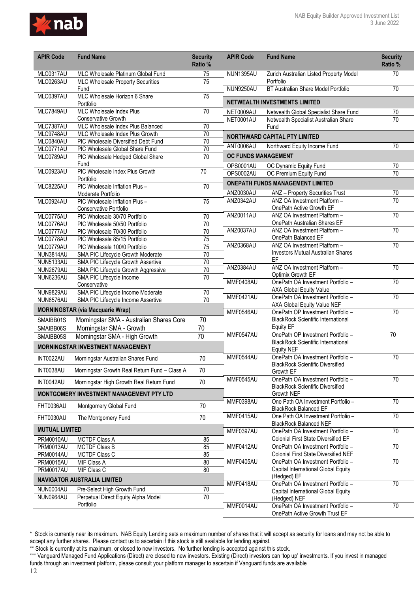

| <b>APIR Code</b>       | <b>Fund Name</b>                                     | <b>Security</b><br>Ratio % | <b>APIR Code</b>                        | <b>Fund Name</b>                                                                 | <b>Security</b><br>Ratio % |
|------------------------|------------------------------------------------------|----------------------------|-----------------------------------------|----------------------------------------------------------------------------------|----------------------------|
| MLC0317AU              | MLC Wholesale Platinum Global Fund                   | 75                         | NUN1395AU                               | Zurich Australian Listed Property Model                                          | 70                         |
| MLC0263AU              | <b>MLC Wholesale Property Securities</b><br>Fund     | $\overline{75}$            | NUN9250AU                               | Portfolio<br>BT Australian Share Model Portfolio                                 | 70                         |
| MLC0397AU              | MLC Wholesale Horizon 6 Share<br>Portfolio           | 75                         |                                         | NETWEALTH INVESTMENTS LIMITED                                                    |                            |
| MLC7849AU              | MLC Wholesale Index Plus                             | $\overline{70}$            | NET0009AU                               | Netwealth Global Specialist Share Fund                                           | $70\,$                     |
|                        | Conservative Growth                                  |                            | NET0001AU                               | Netwealth Specialist Australian Share                                            | $\overline{70}$            |
| MLC7387AU              | MLC Wholesale Index Plus Balanced                    | 70                         |                                         | Fund                                                                             |                            |
| MLC9748AU              | MLC Wholesale Index Plus Growth                      | $\overline{70}$            |                                         | <b>NORTHWARD CAPITAL PTY LIMITED</b>                                             |                            |
| MLC0840AU              | PIC Wholesale Diversified Debt Fund                  | 70                         | ANT0006AU                               | Northward Equity Income Fund                                                     | $\overline{70}$            |
| MLC0771AU              | PIC Wholesale Global Share Fund                      | 70                         |                                         |                                                                                  |                            |
| MLC0789AU              | PIC Wholesale Hedged Global Share<br>Fund            | $\overline{70}$            | <b>OC FUNDS MANAGEMENT</b><br>OPS0001AU | OC Dynamic Equity Fund                                                           | $\overline{70}$            |
| MLC0923AU              | PIC Wholesale Index Plus Growth                      | $\overline{70}$            | OPS0002AU                               | OC Premium Equity Fund                                                           | 70                         |
|                        | Portfolio                                            |                            |                                         | <b>ONEPATH FUNDS MANAGEMENT LIMITED</b>                                          |                            |
| MLC8225AU              | PIC Wholesale Inflation Plus -                       | $\overline{70}$            | <b>ANZ0030AU</b>                        | ANZ - Property Securities Trust                                                  | 70                         |
| MLC0924AU              | Moderate Portfolio<br>PIC Wholesale Inflation Plus - | $\overline{75}$            | ANZ0342AU                               | ANZ OA Investment Platform -                                                     | 70                         |
|                        | Conservative Portfolio                               |                            |                                         | OnePath Active Growth EF                                                         |                            |
| MLC0775AU              | PIC Wholesale 30/70 Portfolio                        | $\overline{70}$            | <b>ANZ0011AU</b>                        | ANZ OA Investment Platform -                                                     | 70                         |
| MLC0776AU              | PIC Wholesale 50/50 Portfolio                        | $\overline{70}$            |                                         | OnePath Australian Shares EF                                                     |                            |
| MLC0777AU              | PIC Wholesale 70/30 Portfolio                        | 70                         | ANZ0037AU                               | ANZ OA Investment Platform -                                                     | 70                         |
| MLC0778AU              | PIC Wholesale 85/15 Portfolio                        | 75                         |                                         | OnePath Balanced EF                                                              |                            |
| MLC0779AU              | PIC Wholesale 100/0 Portfolio                        | $\overline{75}$            | ANZ0368AU                               | ANZ OA Investment Platform -                                                     | 70                         |
| NUN3814AU              | SMA PIC Lifecycle Growth Moderate                    | $\overline{70}$            |                                         | <b>Investors Mutual Australian Shares</b>                                        |                            |
| NUN5133AU              | SMA PIC Lifecycle Growth Assertive                   | $\overline{70}$            | ANZ0384AU                               | EF<br>ANZ OA Investment Platform -                                               | $\overline{70}$            |
| <b>NUN2679AU</b>       | SMA PIC Lifecycle Growth Aggressive                  | 70                         |                                         | Optimix Growth EF                                                                |                            |
| NUN6236AU              | SMA PIC Lifecycle Income                             | $\overline{70}$            | MMF0408AU                               | OnePath OA Investment Portfolio -                                                | $\overline{70}$            |
| NUN9829AU              | Conservative<br>SMA PIC Lifecycle Income Moderate    | 70                         |                                         | <b>AXA Global Equity Value</b>                                                   |                            |
| NUN8576AU              | SMA PIC Lifecycle Income Assertive                   | $\overline{70}$            | MMF0421AU                               | OnePath OA Investment Portfolio -                                                | 70                         |
|                        | <b>MORNINGSTAR (via Macquarie Wrap)</b>              |                            | MMF0546AU                               | AXA Global Equity Value NEF<br>OnePath OP Investment Portfolio -                 | 70                         |
| SMAIBB01S              | Morningstar SMA - Australian Shares Core             | 70                         |                                         | <b>BlackRock Scientific International</b>                                        |                            |
| SMAIBB06S              | Morningstar SMA - Growth                             | $\overline{70}$            |                                         | <b>Equity EF</b>                                                                 |                            |
| SMAIBB05S              | Morningstar SMA - High Growth                        | 70                         | MMF0547AU                               | OnePath OP Investment Portfolio -                                                | 70                         |
|                        | <b>MORNINGSTAR INVESTMENT MANAGEMENT</b>             |                            |                                         | <b>BlackRock Scientific International</b><br><b>Equity NEF</b>                   |                            |
| INT0022AU              | Morningstar Australian Shares Fund                   | 70                         | MMF0544AU                               | OnePath OA Investment Portfolio -                                                | 70                         |
| INT0038AU              | Morningstar Growth Real Return Fund - Class A        | 70                         |                                         | <b>BlackRock Scientific Diversified</b><br>Growth EF                             |                            |
| INT0042AU              | Morningstar High Growth Real Return Fund             | 70                         | MMF0545AU                               | OnePath OA Investment Portfolio -<br><b>BlackRock Scientific Diversified</b>     | 70                         |
|                        | MONTGOMERY INVESTMENT MANAGEMENT PTY LTD             |                            |                                         | Growth NEF                                                                       |                            |
| FHT0036AU              | Montgomery Global Fund                               | 70                         | MMF0398AU                               | One Path OA Investment Portfolio -<br><b>BlackRock Balanced EF</b>               | $\overline{70}$            |
| FHT0030AU              | The Montgomery Fund                                  | 70                         | MMF0415AU                               | One Path OA Investment Portfolio -<br><b>BlackRock Balanced NEF</b>              | $\overline{70}$            |
| <b>MUTUAL LIMITED</b>  |                                                      |                            | MMF0397AU                               | OnePath OA Investment Portfolio -                                                | 70                         |
| PRM0010AU              | MCTDF Class A                                        | 85                         |                                         | <b>Colonial First State Diversified EF</b>                                       |                            |
| <b>PRM0013AU</b>       | <b>MCTDF Class B</b>                                 | 85                         | MMF0412AU                               | OnePath OA Investment Portfolio -                                                | $\overline{70}$            |
| PRM0014AU              | MCTDF Class C                                        | 85                         | MMF0405AU                               | <b>Colonial First State Diversified NEF</b><br>OnePath OA Investment Portfolio - | 70                         |
| PRM0015AU<br>PRM0017AU | MIF Class A<br>MIF Class C                           | 80<br>80                   |                                         | Capital International Global Equity                                              |                            |
|                        |                                                      |                            |                                         | (Hedged) EF                                                                      |                            |
|                        | <b>NAVIGATOR AUSTRALIA LIMITED</b>                   |                            | MMF0418AU                               | OnePath OA Investment Portfolio -                                                | 70                         |
| NUN0004AU              | Pre-Select High Growth Fund                          | 70                         |                                         | Capital International Global Equity                                              |                            |
| NUN0964AU              | Perpetual Direct Equity Alpha Model<br>Portfolio     | $\overline{70}$            |                                         | (Hedged) NEF                                                                     |                            |
|                        |                                                      |                            | MMF0014AU                               | OnePath OA Investment Portfolio -<br>OnePath Active Growth Trust EF              | $\overline{70}$            |

<sup>\*</sup> Stock is currently near its maximum. NAB Equity Lending sets a maximum number of shares that it will accept as security for loans and may not be able to accept any further shares. Please contact us to ascertain if this stock is still available for lending against.

<sup>\*\*</sup> Stock is currently at its maximum, or closed to new investors. No further lending is accepted against this stock.

<sup>\*\*\*</sup> Vanguard Managed Fund Applications (Direct) are closed to new investors. Existing (Direct) investors can 'top up' investments. If you invest in managed funds through an investment platform, please consult your platform manager to ascertain if Vanguard funds are available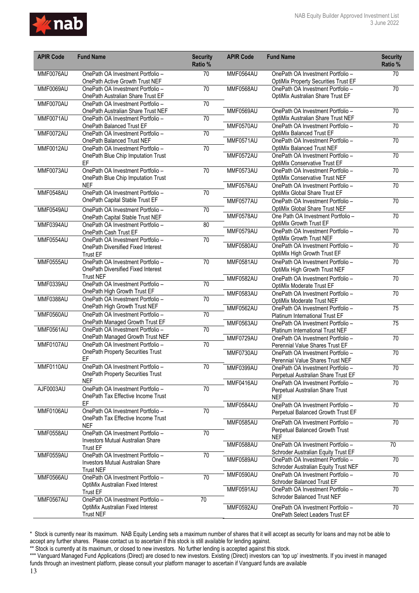

| <b>APIR Code</b>       | <b>Fund Name</b>                                                                                                  | <b>Security</b><br>Ratio % | <b>APIR Code</b>       | <b>Fund Name</b>                                                                                                 | <b>Security</b><br>Ratio % |
|------------------------|-------------------------------------------------------------------------------------------------------------------|----------------------------|------------------------|------------------------------------------------------------------------------------------------------------------|----------------------------|
| MMF0076AU              | OnePath OA Investment Portfolio -<br>OnePath Active Growth Trust NEF                                              | 70                         | MMF0564AU              | OnePath OA Investment Portfolio -<br><b>OptiMix Property Securities Trust EF</b>                                 | 70                         |
| <b>MMF0069AU</b>       | OnePath OA Investment Portfolio -<br>OnePath Australian Share Trust EF                                            | $\overline{70}$            | MMF0568AU              | OnePath OA Investment Portfolio -<br>OptiMix Australian Share Trust EF                                           | 70                         |
| MMF0070AU              | OnePath OA Investment Portfolio -<br>OnePath Australian Share Trust NEF                                           | $70\,$                     | MMF0569AU              | OnePath OA Investment Portfolio -                                                                                | $\overline{70}$            |
| MMF0071AU              | OnePath OA Investment Portfolio -<br>OnePath Balanced Trust EF                                                    | $\overline{70}$            | MMF0570AU              | OptiMix Australian Share Trust NEF<br>OnePath OA Investment Portfolio -                                          | 70                         |
| <b>MMF0072AU</b>       | OnePath OA Investment Portfolio -<br>OnePath Balanced Trust NEF                                                   | $\overline{70}$            | MMF0571AU              | OptiMix Balanced Trust EF<br>OnePath OA Investment Portfolio -                                                   | 70                         |
| <b>MMF0012AU</b>       | OnePath OA Investment Portfolio -<br>OnePath Blue Chip Imputation Trust<br>EF                                     | 70                         | <b>MMF0572AU</b>       | <b>OptiMix Balanced Trust NEF</b><br>OnePath OA Investment Portfolio -<br><b>OptiMix Conservative Trust EF</b>   | $\overline{70}$            |
| MMF0073AU              | OnePath OA Investment Portfolio -<br>OnePath Blue Chip Imputation Trust                                           | 70                         | MMF0573AU              | OnePath OA Investment Portfolio -<br>OptiMix Conservative Trust NEF                                              | $\overline{70}$            |
| MMF0548AU              | <b>NEF</b><br>OnePath OA Investment Portfolio -                                                                   | 70                         | MMF0576AU              | OnePath OA Investment Portfolio -<br>OptiMix Global Share Trust EF                                               | 70                         |
|                        | OnePath Capital Stable Trust EF                                                                                   |                            | MMF0577AU              | OnePath OA Investment Portfolio -<br>OptiMix Global Share Trust NEF                                              | $\overline{70}$            |
| MMF0549AU<br>MMF0394AU | OnePath OA Investment Portfolio -<br>OnePath Capital Stable Trust NEF<br>OnePath OA Investment Portfolio -        | $\overline{70}$<br>80      | MMF0578AU              | One Path OA Investment Portfolio -<br>OptiMix Growth Trust EF                                                    | 70                         |
| MMF0554AU              | OnePath Cash Trust EF<br>OnePath OA Investment Portfolio -                                                        | 70                         | MMF0579AU              | OnePath OA Investment Portfolio -<br>OptiMix Growth Trust NEF                                                    | 70                         |
|                        | OnePath Diversified Fixed Interest<br><b>Trust EF</b>                                                             |                            | MMF0580AU              | OnePath OA Investment Portfolio -<br>OptiMix High Growth Trust EF                                                | 70                         |
| MMF0555AU              | OnePath OA Investment Portfolio -<br>OnePath Diversified Fixed Interest                                           | $\overline{70}$            | MMF0581AU              | OnePath OA Investment Portfolio -<br>OptiMix High Growth Trust NEF                                               | 70                         |
| MMF0339AU              | <b>Trust NEF</b><br>OnePath OA Investment Portfolio -                                                             | $\overline{70}$            | <b>MMF0582AU</b>       | OnePath OA Investment Portfolio -<br>OptiMix Moderate Trust EF                                                   | $\overline{70}$            |
| MMF0388AU              | OnePath High Growth Trust EF<br>OnePath OA Investment Portfolio -                                                 | 70                         | MMF0583AU              | OnePath OA Investment Portfolio -<br>OptiMix Moderate Trust NEF                                                  | $\overline{70}$            |
| MMF0560AU              | OnePath High Growth Trust NEF<br>OnePath OA Investment Portfolio -                                                | $\overline{70}$            | <b>MMF0562AU</b>       | OnePath OA Investment Portfolio -<br>Platinum International Trust EF                                             | $\overline{75}$            |
| MMF0561AU              | OnePath Managed Growth Trust EF<br>OnePath OA Investment Portfolio -                                              | 70                         | MMF0563AU              | OnePath OA Investment Portfolio -<br>Platinum International Trust NEF                                            | $\overline{75}$            |
| MMF0107AU              | OnePath Managed Growth Trust NEF<br>OnePath OA Investment Portfolio -<br><b>OnePath Property Securities Trust</b> | 70                         | MMF0729AU              | OnePath OA Investment Portfolio -<br>Perennial Value Shares Trust EF                                             | 70                         |
| MMF0110AU              | EF<br>OnePath OA Investment Portfolio -                                                                           | $70\,$                     | MMF0730AU              | OnePath OA Investment Portfolio -<br>Perennial Value Shares Trust NEF                                            | $\overline{70}$            |
|                        | OnePath Property Securities Trust<br>NEF                                                                          |                            | MMF0399AU<br>MMF0416AU | OnePath OA Investment Portfolio -<br>Perpetual Australian Share Trust EF                                         | 70                         |
| AJF0003AU              | OnePath OA Investment Portfolio -<br>OnePath Tax Effective Income Trust                                           | 70                         |                        | OnePath OA Investment Portfolio -<br>Perpetual Australian Share Trust<br><b>NEF</b>                              | 70                         |
| MMF0106AU              | EF<br>OnePath OA Investment Portfolio -<br>OnePath Tax Effective Income Trust                                     | 70                         | MMF0584AU              | OnePath OA Investment Portfolio -<br>Perpetual Balanced Growth Trust EF                                          | $\overline{70}$            |
| MMF0558AU              | <b>NEF</b><br>OnePath OA Investment Portfolio -                                                                   | 70                         | MMF0585AU              | OnePath OA Investment Portfolio -<br>Perpetual Balanced Growth Trust                                             | $\overline{70}$            |
|                        | Investors Mutual Australian Share<br><b>Trust EF</b>                                                              |                            | MMF0588AU              | <b>NEF</b><br>OnePath OA Investment Portfolio -                                                                  | 70                         |
| MMF0559AU              | OnePath OA Investment Portfolio -<br><b>Investors Mutual Australian Share</b>                                     | $70\,$                     | MMF0589AU              | Schroder Australian Equity Trust EF<br>OnePath OA Investment Portfolio -<br>Schroder Australian Equity Trust NEF | 70                         |
| MMF0566AU              | <b>Trust NEF</b><br>OnePath OA Investment Portfolio -                                                             | $\overline{70}$            | MMF0590AU              | OnePath OA Investment Portfolio -<br>Schroder Balanced Trust EF                                                  | $\overline{70}$            |
|                        | OptiMix Australian Fixed Interest<br><b>Trust EF</b><br>OnePath OA Investment Portfolio -                         | 70                         | MMF0591AU              | OnePath OA Investment Portfolio -<br>Schroder Balanced Trust NEF                                                 | 70                         |
| MMF0567AU              | OptiMix Australian Fixed Interest<br><b>Trust NEF</b>                                                             |                            | MMF0592AU              | OnePath OA Investment Portfolio -<br>OnePath Select Leaders Trust EF                                             | 70                         |

\*\* Stock is currently at its maximum, or closed to new investors. No further lending is accepted against this stock.

\*\*\* Vanguard Managed Fund Applications (Direct) are closed to new investors. Existing (Direct) investors can 'top up' investments. If you invest in managed funds through an investment platform, please consult your platform manager to ascertain if Vanguard funds are available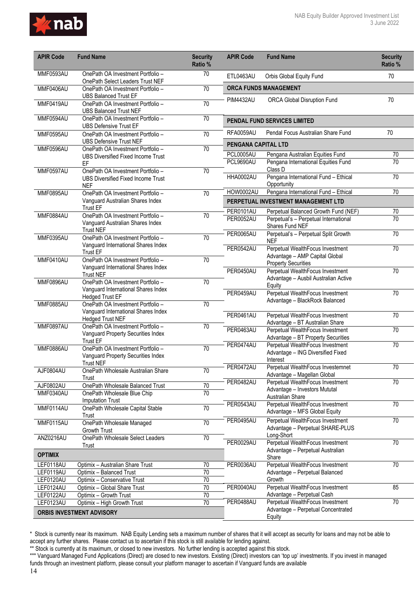

| <b>APIR Code</b>       | <b>Fund Name</b>                                                                             | <b>Security</b><br>Ratio % | <b>APIR Code</b>       | <b>Fund Name</b>                                                         | <b>Security</b><br>Ratio % |
|------------------------|----------------------------------------------------------------------------------------------|----------------------------|------------------------|--------------------------------------------------------------------------|----------------------------|
| MMF0593AU              | OnePath OA Investment Portfolio -<br>OnePath Select Leaders Trust NEF                        | 70                         | ETL0463AU              | Orbis Global Equity Fund                                                 | 70                         |
| MMF0406AU              | OnePath OA Investment Portfolio -<br><b>UBS Balanced Trust EF</b>                            | $\overline{70}$            |                        | <b>ORCA FUNDS MANAGEMENT</b>                                             |                            |
| MMF0419AU              | OnePath OA Investment Portfolio -<br><b>UBS Balanced Trust NEF</b>                           | $\overline{70}$            | <b>PIM4432AU</b>       | <b>ORCA Global Disruption Fund</b>                                       | 70                         |
| MMF0594AU              | OnePath OA Investment Portfolio -<br><b>UBS Defensive Trust EF</b>                           | $\overline{70}$            |                        | PENDAL FUND SERVICES LIMITED                                             |                            |
| MMF0595AU              | OnePath OA Investment Portfolio -<br><b>UBS Defensive Trust NEF</b>                          | 70                         | RFA0059AU              | Pendal Focus Australian Share Fund                                       | 70                         |
| MMF0596AU              | OnePath OA Investment Portfolio -                                                            | 70                         | PENGANA CAPITAL LTD    |                                                                          |                            |
|                        | <b>UBS Diversified Fixed Income Trust</b><br>EF                                              |                            | PCL0005AU<br>PCL9690AU | Pengana Australian Equities Fund<br>Pengana International Equities Fund  | 70<br>$\overline{70}$      |
| MMF0597AU              | OnePath OA Investment Portfolio -                                                            | 70                         |                        | Class D                                                                  |                            |
|                        | <b>UBS Diversified Fixed Income Trust</b><br><b>NEF</b>                                      |                            | <b>HHA0002AU</b>       | Pengana International Fund - Ethical<br>Opportunity                      | $\overline{70}$            |
| <b>MMF0895AU</b>       | OnePath OA Investment Portfolio -                                                            | 70                         | HOW0002AU              | Pengana International Fund - Ethical                                     | 70                         |
|                        | Vanguard Australian Shares Index                                                             |                            |                        | PERPETUAL INVESTMENT MANAGEMENT LTD                                      |                            |
| MMF0884AU              | <b>Trust EF</b><br>OnePath OA Investment Portfolio -                                         | 70                         | PER0101AU              | Perpetual Balanced Growth Fund (NEF)                                     | 70                         |
|                        | Vanguard Australian Shares Index<br><b>Trust NEF</b>                                         |                            | PER0052AU              | Perpetual's - Perpetual International<br>Shares Fund NEF                 | $\overline{70}$            |
| MMF0395AU              | OnePath OA Investment Portfolio -                                                            | 70                         | <b>PER0065AU</b>       | Perpetual's - Perpetual Split Growth<br><b>NEF</b>                       | $\overline{70}$            |
|                        | Vanguard International Shares Index<br><b>Trust EF</b>                                       |                            | PER0542AU              | Perpetual WealthFocus Investment<br>Advantage - AMP Capital Global       | $\overline{70}$            |
| MMF0410AU              | OnePath OA Investment Portfolio -                                                            | 70                         |                        | <b>Property Securities</b>                                               |                            |
| <b>MMF0896AU</b>       | Vanguard International Shares Index<br><b>Trust NEF</b><br>OnePath OA Investment Portfolio - |                            | PER0450AU              | Perpetual WealthFocus Investment<br>Advantage - Ausbil Australian Active | $\overline{70}$            |
|                        | Vanguard International Shares Index                                                          | 70                         |                        | Equity                                                                   |                            |
|                        | <b>Hedged Trust EF</b>                                                                       |                            | PER0459AU              | Perpetual WealthFocus Investment                                         | 70                         |
| <b>MMF0885AU</b>       | OnePath OA Investment Portfolio -                                                            | 70                         |                        | Advantage - BlackRock Balanced                                           |                            |
|                        | Vanguard International Shares Index<br><b>Hedged Trust NEF</b>                               |                            | PER0461AU              | Perpetual WealthFocus Investment<br>Advantage - BT Australian Share      | $\overline{70}$            |
| MMF0897AU              | OnePath OA Investment Portfolio -                                                            | 70                         | PER0463AU              | Perpetual WealthFocus Investment                                         | $\overline{70}$            |
|                        | Vanguard Property Securities Index<br><b>Trust EF</b>                                        |                            |                        | Advantage - BT Property Securities                                       |                            |
| MMF0886AU              | OnePath OA Investment Portfolio -                                                            | $\overline{70}$            | PER0474AU              | Perpetual WealthFocus Investment                                         | 70                         |
|                        | Vanguard Property Securities Index<br><b>Trust NEF</b>                                       |                            |                        | Advantage - ING Diversified Fixed<br>Interest                            |                            |
| AJF0804AU              | OnePath Wholesale Australian Share                                                           | 70                         | PER0472AU              | Perpetual WealthFocus Investemnet                                        | 70                         |
|                        | Trust                                                                                        |                            |                        | Advantage - Magellan Global                                              |                            |
| AJF0802AU              | OnePath Wholesale Balanced Trust                                                             | 70                         | PER0482AU              | Perpetual WealthFocus Investment<br>Advantage - Investors Mututal        | $\overline{70}$            |
| MMF0340AU              | OnePath Wholesale Blue Chip                                                                  | $\overline{70}$            |                        | Australian Share                                                         |                            |
| MMF0114AU              | <b>Imputation Trust</b>                                                                      | $\overline{70}$            | PER0543AU              | Perpetual WealthFocus Investment                                         | 70                         |
|                        | OnePath Wholesale Capital Stable<br>Trust                                                    |                            |                        | Advantage - MFS Global Equity                                            |                            |
| MMF0115AU              | OnePath Wholesale Managed                                                                    | 70                         | PER0495AU              | Perpetual WealthFocus Investment                                         | 70                         |
|                        | Growth Trust                                                                                 |                            |                        | Advantage - Perpetual SHARE-PLUS<br>Long-Short                           |                            |
| ANZ0216AU              | OnePath Wholesale Select Leaders                                                             | 70                         | PER0029AU              | Perpetual WealthFocus Investment                                         | $\overline{70}$            |
| <b>OPTIMIX</b>         | Trust                                                                                        |                            |                        | Advantage - Perpetual Australian<br>Share                                |                            |
| LEF0118AU              | Optimix - Australian Share Trust                                                             | 70                         | PER0036AU              | Perpetual WealthFocus Investment                                         | $\overline{70}$            |
| LEF0119AU              | Optimix - Balanced Trust                                                                     | 70                         |                        | Advantage - Perpetual Balanced                                           |                            |
| LEF0120AU              | Optimix - Conservative Trust                                                                 | $70\,$                     |                        | Growth                                                                   |                            |
| LEF0124AU              | Optimix - Global Share Trust                                                                 | 70                         | PER0040AU              | Perpetual WealthFocus Investment                                         | 85                         |
| LEF0122AU<br>LEF0123AU | Optimix - Growth Trust<br>Optimix - High Growth Trust                                        | 70<br>$\overline{70}$      | PER0488AU              | Advantage - Perpetual Cash<br>Perpetual WealthFocus Investment           | 70                         |
|                        |                                                                                              |                            |                        | Advantage - Perpetual Concentrated                                       |                            |
|                        | <b>ORBIS INVESTMENT ADVISORY</b>                                                             |                            |                        | Equity                                                                   |                            |

<sup>\*</sup> Stock is currently near its maximum. NAB Equity Lending sets a maximum number of shares that it will accept as security for loans and may not be able to accept any further shares. Please contact us to ascertain if this stock is still available for lending against.

<sup>\*\*</sup> Stock is currently at its maximum, or closed to new investors. No further lending is accepted against this stock.

<sup>\*\*\*</sup> Vanguard Managed Fund Applications (Direct) are closed to new investors. Existing (Direct) investors can 'top up' investments. If you invest in managed funds through an investment platform, please consult your platform manager to ascertain if Vanguard funds are available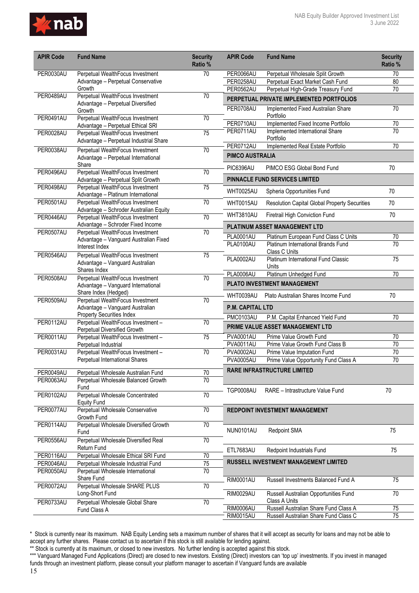

| <b>APIR Code</b>       | <b>Fund Name</b>                                                           | <b>Security</b><br>Ratio % | <b>APIR Code</b>        | <b>Fund Name</b>                                     | <b>Security</b><br>Ratio % |
|------------------------|----------------------------------------------------------------------------|----------------------------|-------------------------|------------------------------------------------------|----------------------------|
| PER0030AU              | Perpetual WealthFocus Investment                                           | 70                         | PER0066AU               | Perpetual Wholesale Split Growth                     | 70                         |
|                        | Advantage - Perpetual Conservative                                         |                            | PER0258AU               | Perpetual Exact Market Cash Fund                     | 80                         |
|                        | Growth<br>Perpetual WealthFocus Investment                                 | $\overline{70}$            | PER0562AU               | Perpetual High-Grade Treasury Fund                   | $\overline{70}$            |
| PER0489AU              | Advantage - Perpetual Diversified                                          |                            |                         | PERPETUAL PRIVATE IMPLEMENTED PORTFOLIOS             |                            |
| PER0491AU              | Growth<br>Perpetual WealthFocus Investment                                 | 70                         | PER0708AU               | Implemented Fixed Australian Share<br>Portfolio      | $\overline{70}$            |
|                        | Advantage - Perpetual Ethical SRI                                          |                            | PER0710AU               | Implemented Fixed Income Portfolio                   | 70                         |
| PER0028AU              | Perpetual WealthFocus Investment<br>Advantage - Perpetual Industrial Share | $\overline{75}$            | PER0711AU               | Implemented International Share<br>Portfolio         | 70                         |
| PER0038AU              | Perpetual WealthFocus Investment                                           | $\overline{70}$            | PER0712AU               | Implemented Real Estate Portfolio                    | $\overline{70}$            |
|                        | Advantage - Perpetual International<br>Share                               |                            | <b>PIMCO AUSTRALIA</b>  |                                                      |                            |
| PER0496AU              | Perpetual WealthFocus Investment                                           | 70                         | PIC6396AU               | PIMCO ESG Global Bond Fund                           | 70                         |
| PER0498AU              | Advantage - Perpetual Split Growth<br>Perpetual WealthFocus Investment     | 75                         |                         | <b>PINNACLE FUND SERVICES LIMITED</b>                |                            |
|                        | Advantage - Platinum International                                         |                            | <b>WHT0025AU</b>        | Spheria Opportunities Fund                           | 70                         |
| PER0501AU              | Perpetual WealthFocus Investment<br>Advantage - Schroder Australian Equity | 70                         | WHT0015AU               | <b>Resolution Capital Global Property Securities</b> | 70                         |
| PER0446AU              | Perpetual WealthFocus Investment                                           | 70                         | <b>WHT3810AU</b>        | Firetrail High Conviction Fund                       | 70                         |
|                        | Advantage - Schroder Fixed Income                                          |                            |                         | PLATINUM ASSET MANAGEMENT LTD                        |                            |
| PER0507AU              | Perpetual WealthFocus Investment                                           | 70                         | PLA0001AU               | Platinum European Fund Class C Units                 | $70\,$                     |
|                        | Advantage - Vanguard Australian Fixed<br>Interest Index                    |                            | PLA0100AU               | Platinum International Brands Fund<br>Class C Units  | $\overline{70}$            |
| PER0546AU              | Perpetual WealthFocus Investment<br>Advantage - Vanguard Australian        | 75                         | <b>PLA0002AU</b>        | Platinum International Fund Classic                  | 75                         |
|                        | Shares Index                                                               |                            |                         | Units                                                |                            |
| PER0508AU              | Perpetual WealthFocus Investment                                           | $\overline{70}$            | <b>PLA0006AU</b>        | Platinum Unhedged Fund                               | $\overline{70}$            |
|                        | Advantage - Vanguard International                                         |                            |                         | PLATO INVESTMENT MANAGEMENT                          |                            |
| PER0509AU              | Share Index (Hedged)<br>Perpetual WealthFocus Investment                   | $\overline{70}$            | WHT0039AU               | Plato Australian Shares Income Fund                  | 70                         |
|                        | Advantage - Vanguard Australian                                            |                            | <b>P.M. CAPITAL LTD</b> |                                                      |                            |
| PER0112AU              | Property Securities Index                                                  | 70                         | PMC0103AU               | P.M. Capital Enhanced Yield Fund                     | 70                         |
|                        | Perpetual WealthFocus Investment -<br>Perpetual Diversified Growth         |                            |                         | PRIME VALUE ASSET MANAGEMENT LTD                     |                            |
| <b>PER0011AU</b>       | Perpetual WealthFocus Investment -                                         | $\overline{75}$            | <b>PVA0001AU</b>        | Prime Value Growth Fund                              | 70                         |
|                        | Perpetual Industrial                                                       |                            | <b>PVA0011AU</b>        | Prime Value Growth Fund Class B                      | $\overline{70}$            |
| PER0031AU              | Perpetual WealthFocus Investment-                                          | $\overline{70}$            | <b>PVA0002AU</b>        | Prime Value Imputation Fund                          | 70                         |
|                        | Perpetual International Shares                                             |                            | <b>PVA0005AU</b>        | Prime Value Opportunity Fund Class A                 | 70                         |
| PER0049AU              | Perpetual Wholesale Australian Fund                                        | 70                         |                         | <b>RARE INFRASTRUCTURE LIMITED</b>                   |                            |
| PER0063AU              | Perpetual Wholesale Balanced Growth                                        | $\overline{70}$            |                         |                                                      |                            |
| <b>PER0102AU</b>       | Fund<br>Perpetual Wholesale Concentrated                                   | $\overline{70}$            | TGP0008AU               | RARE - Intrastructure Value Fund                     | 70                         |
|                        | <b>Equity Fund</b>                                                         |                            |                         |                                                      |                            |
| PER0077AU              | Perpetual Wholesale Conservative<br>Growth Fund                            | $\overline{70}$            |                         | <b>REDPOINT INVESTMENT MANAGEMENT</b>                |                            |
| PER0114AU              | Perpetual Wholesale Diversified Growth<br>Fund                             | $\overline{70}$            | NUN0101AU               | Redpoint SMA                                         | 75                         |
| PER0556AU              | Perpetual Wholesale Diversified Real                                       | 70                         |                         |                                                      |                            |
|                        | Return Fund                                                                |                            | ETL7683AU               | Redpoint Industrials Fund                            | 75                         |
| PER0116AU              | Perpetual Wholesale Ethical SRI Fund                                       | $\overline{70}$            |                         |                                                      |                            |
| PER0046AU<br>PER0050AU | Perpetual Wholesale Industrial Fund<br>Perpetual Wholesale International   | 75<br>70                   |                         | <b>RUSSELL INVESTMENT MANAGEMENT LIMITED</b>         |                            |
|                        | Share Fund                                                                 |                            | <b>RIM0001AU</b>        | Russell Investments Balanced Fund A                  | 75                         |
| PER0072AU              | Perpetual Wholesale SHARE PLUS<br>Long-Short Fund                          | $\overline{70}$            | RIM0029AU               | Russell Australian Opportunities Fund                | 70                         |
| PER0733AU              | Perpetual Wholesale Global Share                                           | 70                         |                         | Class A Units                                        |                            |
|                        | Fund Class A                                                               |                            | RIM0006AU               | Russell Australian Share Fund Class A                | 75                         |
|                        |                                                                            |                            | <b>RIM0015AU</b>        | Russell Australian Share Fund Class C                | $\overline{75}$            |

<sup>\*</sup> Stock is currently near its maximum. NAB Equity Lending sets a maximum number of shares that it will accept as security for loans and may not be able to accept any further shares. Please contact us to ascertain if this stock is still available for lending against.

<sup>\*\*</sup> Stock is currently at its maximum, or closed to new investors. No further lending is accepted against this stock.

<sup>\*\*\*</sup> Vanguard Managed Fund Applications (Direct) are closed to new investors. Existing (Direct) investors can 'top up' investments. If you invest in managed funds through an investment platform, please consult your platform manager to ascertain if Vanguard funds are available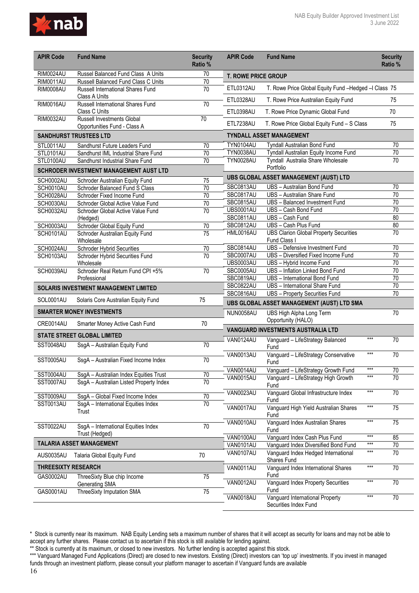

| <b>APIR Code</b>                     | <b>Fund Name</b>                                                                  | <b>Security</b><br>Ratio % | <b>APIR Code</b>           | <b>Fund Name</b>                                                | <b>Security</b><br>Ratio % |
|--------------------------------------|-----------------------------------------------------------------------------------|----------------------------|----------------------------|-----------------------------------------------------------------|----------------------------|
| <b>RIM0024AU</b>                     | Russel Balanced Fund Class A Units                                                | 70                         | <b>T. ROWE PRICE GROUP</b> |                                                                 |                            |
| <b>RIM0011AU</b><br><b>RIM0008AU</b> | Russell Balanced Fund Class C Units<br>Russell International Shares Fund          | $70\,$<br>70               | ETL0312AU                  | T. Rowe Price Global Equity Fund -Hedged -I Class 75            |                            |
| <b>RIM0016AU</b>                     | Class A Units<br>Russell International Shares Fund                                | 70                         | ETL0328AU                  | T. Rowe Price Australian Equity Fund                            | 75                         |
|                                      | Class C Units                                                                     |                            | ETL0398AU                  | T. Rowe Price Dynamic Global Fund                               | 70                         |
| <b>RIM0032AU</b>                     | <b>Russell Investments Global</b><br>Opportunities Fund - Class A                 | $\overline{70}$            | ETL7238AU                  | T. Rowe Price Global Equity Fund - S Class                      | 75                         |
|                                      | <b>SANDHURST TRUSTEES LTD</b>                                                     |                            |                            | <b>TYNDALL ASSET MANAGEMENT</b>                                 |                            |
| STL0011AU                            | Sandhurst Future Leaders Fund                                                     | 70                         | <b>TYN0104AU</b>           | Tyndall Australian Bond Fund                                    | 70                         |
| STL0101AU                            | Sandhurst IML Industrial Share Fund                                               | 70                         | <b>TYN0038AU</b>           | Tyndall Australian Equity Income Fund                           | 70                         |
| STL0100AU                            | Sandhurst Industrial Share Fund                                                   | 70                         | <b>TYN0028AU</b>           | Tyndall Australia Share Wholesale<br>Portfolio                  | 70                         |
|                                      | SCHRODER INVESTMENT MANAGEMENT AUST LTD                                           |                            |                            | UBS GLOBAL ASSET MANAGEMENT (AUST) LTD                          |                            |
| SCH0002AU                            | Schroder Australian Equity Fund                                                   | $\overline{75}$            |                            |                                                                 |                            |
| SCH0010AU                            | Schroder Balanced Fund S Class                                                    | 70                         | SBC0813AU                  | UBS - Australian Bond Fund                                      | 70                         |
| SCH0028AU                            | Schroder Fixed Income Fund                                                        | $\overline{70}$            | SBC0817AU                  | UBS - Australian Share Fund                                     | 70                         |
| SCH0030AU                            | Schroder Global Active Value Fund                                                 | $\overline{70}$            | SBC0815AU                  | UBS - Balanced Investment Fund                                  | 70                         |
| SCH0032AU                            | Schroder Global Active Value Fund                                                 | $\overline{70}$            | <b>UBS0001AU</b>           | UBS - Cash Bond Fund                                            | 70                         |
|                                      | (Hedged)                                                                          |                            | SBC0811AU                  | UBS - Cash Fund                                                 | 80                         |
| SCH0003AU                            | Schroder Global Equity Fund                                                       | $\overline{70}$            | <b>SBC0812AU</b>           | UBS - Cash Plus Fund                                            | 80                         |
| SCH0101AU                            | Schroder Australian Equity Fund<br>Wholesale                                      | $\overline{75}$            | HML0016AU                  | <b>UBS Clarion Global Property Securities</b><br>Fund Class I   | 70                         |
| SCH0024AU                            | Schroder Hybrid Securities                                                        | 70                         | SBC0814AU                  | <b>UBS</b> - Defensive Investment Fund                          | $\overline{70}$            |
| SCH0103AU                            | Schroder Hybrid Securities Fund                                                   | 70                         | SBC0007AU                  | UBS - Diversified Fixed Income Fund                             | 70                         |
|                                      | Wholesale                                                                         |                            | <b>UBS0003AU</b>           | UBS - Hybrid Income Fund                                        | $\overline{70}$            |
| SCH0039AU                            | Schroder Real Return Fund CPI +5%                                                 | 70                         | SBC0005AU                  | UBS - Inflation Linked Bond Fund                                | $\overline{70}$            |
|                                      | Professional                                                                      |                            | SBC0819AU<br>SBC0822AU     | UBS - International Bond Fund<br>UBS - International Share Fund | 70<br>$\overline{70}$      |
|                                      | SOLARIS INVESTMENT MANAGEMENT LIMITED                                             |                            | SBC0816AU                  | <b>UBS</b> - Property Securities Fund                           | 70                         |
| SOL0001AU                            | Solaris Core Australian Equity Fund                                               | 75                         |                            | UBS GLOBAL ASSET MANAGEMENT (AUST) LTD SMA                      |                            |
|                                      | <b>SMARTER MONEY INVESTMENTS</b>                                                  |                            | NUN0058AU                  | UBS High Alpha Long Term                                        | 70                         |
| CRE0014AU                            | Smarter Money Active Cash Fund                                                    | 70                         |                            | Opportunity (HALO)<br><b>VANGUARD INVESTMENTS AUSTRALIA LTD</b> |                            |
|                                      | <b>STATE STREET GLOBAL LIMITED</b>                                                |                            | VAN0124AU                  |                                                                 | $***$<br>$\overline{70}$   |
| SST0048AU                            | SsgA - Australian Equity Fund                                                     | 70                         |                            | Vanguard - LifeStrategy Balanced<br>Fund                        | $***$                      |
| SST0005AU                            | SsgA - Australian Fixed Income Index                                              | $\overline{70}$            | <b>VAN0013AU</b>           | Vanguard - LifeStrategy Conservative<br>Fund                    | $\overline{70}$            |
|                                      |                                                                                   |                            | VAN0014AU                  | Vanguard - LifeStrategy Growth Fund                             | $***$<br>70                |
| SST0004AU<br><b>SST0007AU</b>        | SsgA - Australian Index Equities Trust<br>SsgA - Australian Listed Property Index | $70\,$<br>$\overline{70}$  | <b>VAN0015AU</b>           | Vanguard - LifeStrategy High Growth                             | $***$<br>70                |
|                                      |                                                                                   |                            | <b>VAN0023AU</b>           | Fund<br>Vanguard Global Infrastructure Index                    | $***$<br>$\overline{70}$   |
| SST0009AU                            | SsgA - Global Fixed Income Index                                                  | $\overline{70}$            |                            | Fund                                                            |                            |
| SST0013AU                            | SsgA - International Equities Index<br>Trust                                      | $70\,$                     | VAN0017AU                  | Vanguard High Yield Australian Shares<br>Fund                   | $***$<br>$\overline{75}$   |
| SST0022AU                            | SsgA - International Equities Index                                               | $\overline{70}$            | VAN0010AU                  | Vanguard Index Australian Shares<br>Fund                        | $***$<br>75                |
|                                      | Trust (Hedged)                                                                    |                            | VAN0100AU                  | Vanguard Index Cash Plus Fund                                   | $***$<br>85                |
|                                      | <b>TALARIA ASSET MANAGEMENT</b>                                                   |                            | VAN0101AU                  | Vanguard Index Diversified Bond Fund                            | $***$<br>$70\,$            |
| AUS0035AU                            | Talaria Global Equity Fund                                                        | 70                         | VAN0107AU                  | Vanguard Index Hedged International<br>Shares Fund              | $***$<br>70                |
| <b>THREESIXTY RESEARCH</b>           |                                                                                   |                            | <b>VAN0011AU</b>           | Vanguard Index International Shares                             | $***$<br>70                |
| GAS0002AU                            | ThreeSixty Blue chip Income                                                       | 75                         | VAN0012AU                  | Fund<br>Vanguard Index Property Securities                      | $***$<br>$\overline{70}$   |
| GAS0001AU                            | <b>Generating SMA</b><br>ThreeSixty Imputation SMA                                | 75                         |                            | Fund                                                            | $\star\star\star$          |
|                                      |                                                                                   |                            | VAN0018AU                  | Vanguard International Property<br>Securities Index Fund        | $\overline{70}$            |

<sup>\*</sup> Stock is currently near its maximum. NAB Equity Lending sets a maximum number of shares that it will accept as security for loans and may not be able to accept any further shares. Please contact us to ascertain if this stock is still available for lending against.

<sup>\*\*</sup> Stock is currently at its maximum, or closed to new investors. No further lending is accepted against this stock.

<sup>\*\*\*</sup> Vanguard Managed Fund Applications (Direct) are closed to new investors. Existing (Direct) investors can 'top up' investments. If you invest in managed funds through an investment platform, please consult your platform manager to ascertain if Vanguard funds are available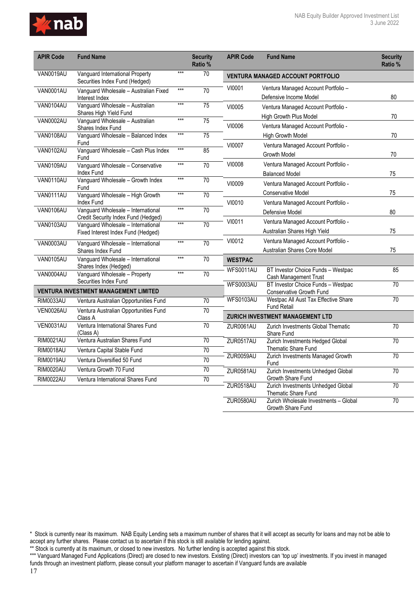

| <b>APIR Code</b>                     | <b>Fund Name</b>                                                          |       | <b>Security</b><br>Ratio % | <b>APIR Code</b> | <b>Fund Name</b>                                                    | <b>Security</b><br>Ratio % |
|--------------------------------------|---------------------------------------------------------------------------|-------|----------------------------|------------------|---------------------------------------------------------------------|----------------------------|
| VAN0019AU                            | Vanguard International Property<br>Securities Index Fund (Hedged)         | $***$ | 70                         |                  | <b>VENTURA MANAGED ACCOUNT PORTFOLIO</b>                            |                            |
| VAN0001AU                            | Vanguard Wholesale - Australian Fixed<br>Interest Index                   | $***$ | 70                         | VI0001           | Ventura Managed Account Portfolio -<br>Defensive Income Model       | 80                         |
| <b>VAN0104AU</b>                     | Vanguard Wholesale - Australian<br>Shares High Yield Fund                 | $***$ | 75                         | VI0005           | Ventura Managed Account Portfolio -                                 |                            |
| <b>VAN0002AU</b>                     | Vanguard Wholesale - Australian<br>Shares Index Fund                      | $***$ | 75                         | VI0006           | High Growth Plus Model<br>Ventura Managed Account Portfolio -       | 70                         |
| <b>VAN0108AU</b>                     | Vanguard Wholesale - Balanced Index<br>Fund                               | $***$ | $\overline{75}$            | VI0007           | <b>High Growth Model</b>                                            | 70                         |
| <b>VAN0102AU</b>                     | Vanguard Wholesale - Cash Plus Index<br>Fund                              | $***$ | 85                         |                  | Ventura Managed Account Portfolio -<br><b>Growth Model</b>          | 70                         |
| <b>VAN0109AU</b>                     | Vanguard Wholesale - Conservative<br>Index Fund                           | $***$ | 70                         | VI0008           | Ventura Managed Account Portfolio -<br><b>Balanced Model</b>        | 75                         |
| <b>VAN0110AU</b>                     | Vanguard Wholesale - Growth Index<br>Fund                                 | $***$ | 70                         | VI0009           | Ventura Managed Account Portfolio -                                 |                            |
| <b>VAN0111AU</b>                     | Vanguard Wholesale - High Growth<br>Index Fund                            | $***$ | 70                         | VI0010           | <b>Conservative Model</b><br>Ventura Managed Account Portfolio -    | 75                         |
| <b>VAN0106AU</b>                     | Vanguard Wholesale - International<br>Credit Security Index Fund (Hedged) | $***$ | 70                         |                  | Defensive Model                                                     | 80                         |
| <b>VAN0103AU</b>                     | Vanguard Wholesale - International<br>Fixed Interest Index Fund (Hedged)  | $***$ | 70                         | VI0011           | Ventura Managed Account Portfolio -<br>Australian Shares High Yield | 75                         |
| <b>VAN0003AU</b>                     | Vanguard Wholesale - International<br>Shares Index Fund                   | $***$ | 70                         | VI0012           | Ventura Managed Account Portfolio -<br>Australian Shares Core Model | 75                         |
| <b>VAN0105AU</b>                     | Vanguard Wholesale - International<br>Shares Index (Hedged)               | $***$ | 70                         | <b>WESTPAC</b>   |                                                                     |                            |
| VAN0004AU                            | Vanguard Wholesale - Property<br>Securities Index Fund                    | $***$ | $\overline{70}$            | <b>WFS0011AU</b> | BT Investor Choice Funds - Westpac<br>Cash Management Trust         | 85                         |
|                                      | <b>VENTURA INVESTMENT MANAGEMENT LIMITED</b>                              |       |                            | <b>WFS0003AU</b> | BT Investor Choice Funds - Westpac<br>Conservative Growth Fund      | 70                         |
| <b>RIM0033AU</b>                     | Ventura Australian Opportunities Fund                                     |       | 70                         | <b>WFS0103AU</b> | Westpac All Aust Tax Effective Share<br><b>Fund Retail</b>          | 70                         |
| VEN0026AU                            | Ventura Australian Opportunities Fund<br>Class A                          |       | $\overline{70}$            |                  | <b>ZURICH INVESTMENT MANAGEMENT LTD</b>                             |                            |
| VEN0031AU                            | Ventura International Shares Fund<br>(Class A)                            |       | $\overline{70}$            | ZUR0061AU        | Zurich Investments Global Thematic<br>Share Fund                    | 70                         |
| <b>RIM0021AU</b>                     | Ventura Australian Shares Fund                                            |       | $\overline{70}$            | ZUR0517AU        | Zurich Investments Hedged Global                                    | 70                         |
| <b>RIM0018AU</b>                     | Ventura Capital Stable Fund                                               |       | $\overline{70}$            | ZUR0059AU        | Thematic Share Fund<br>Zurich Investments Managed Growth            | 70                         |
| <b>RIM0019AU</b><br><b>RIM0020AU</b> | Ventura Diversified 50 Fund<br>Ventura Growth 70 Fund                     |       | 70<br>70                   |                  | Fund                                                                | 70                         |
| <b>RIM0022AU</b>                     | Ventura International Shares Fund                                         |       | 70                         | ZUR0581AU        | Zurich Investments Unhedged Global<br>Growth Share Fund             |                            |
|                                      |                                                                           |       |                            | ZUR0518AU        | Zurich Investments Unhedged Global<br>Thematic Share Fund           | 70                         |
|                                      |                                                                           |       |                            | ZUR0580AU        | Zurich Wholesale Investments - Global<br>Growth Share Fund          | $\overline{70}$            |

<sup>\*</sup> Stock is currently near its maximum. NAB Equity Lending sets a maximum number of shares that it will accept as security for loans and may not be able to accept any further shares. Please contact us to ascertain if this stock is still available for lending against.

<sup>\*\*</sup> Stock is currently at its maximum, or closed to new investors. No further lending is accepted against this stock.

<sup>\*\*\*</sup> Vanguard Managed Fund Applications (Direct) are closed to new investors. Existing (Direct) investors can 'top up' investments. If you invest in managed funds through an investment platform, please consult your platform manager to ascertain if Vanguard funds are available